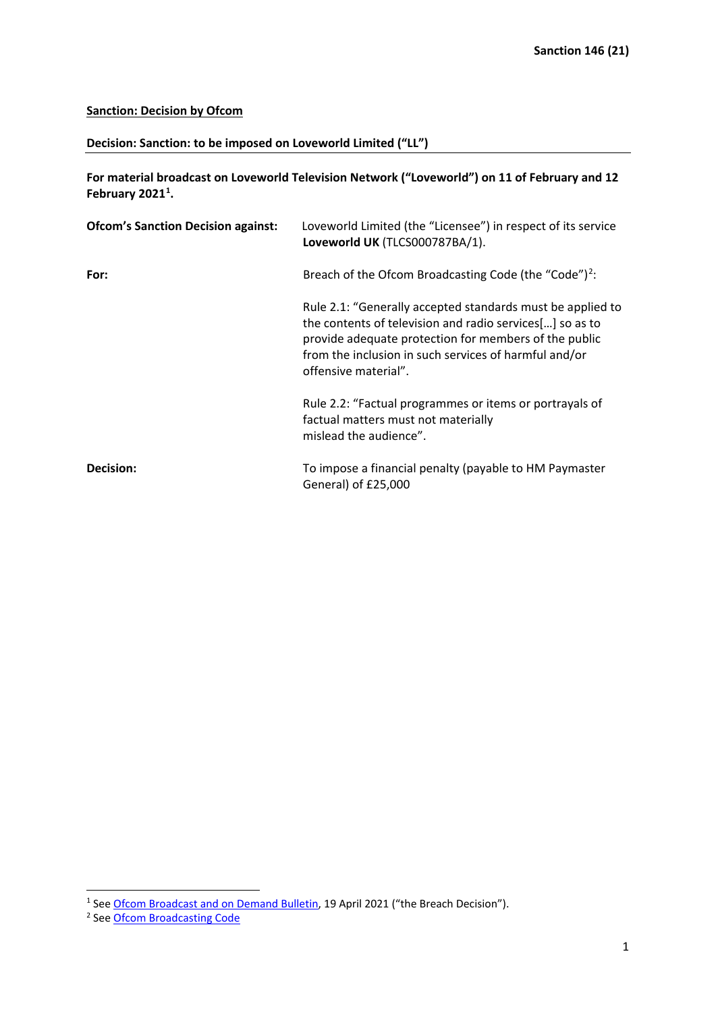## **Sanction: Decision by Ofcom**

## **Decision: Sanction: to be imposed on Loveworld Limited ("LL")**

**For material broadcast on Loveworld Television Network ("Loveworld") on 11 of February and 12 February 2021[1](#page-0-0) .**

| <b>Ofcom's Sanction Decision against:</b> | Loveworld Limited (the "Licensee") in respect of its service<br>Loveworld UK (TLCS000787BA/1).                                                                                                                                                                   |
|-------------------------------------------|------------------------------------------------------------------------------------------------------------------------------------------------------------------------------------------------------------------------------------------------------------------|
| For:                                      | Breach of the Ofcom Broadcasting Code (the "Code") <sup>2</sup> :                                                                                                                                                                                                |
|                                           | Rule 2.1: "Generally accepted standards must be applied to<br>the contents of television and radio services[] so as to<br>provide adequate protection for members of the public<br>from the inclusion in such services of harmful and/or<br>offensive material". |
|                                           | Rule 2.2: "Factual programmes or items or portrayals of<br>factual matters must not materially<br>mislead the audience".                                                                                                                                         |
| Decision:                                 | To impose a financial penalty (payable to HM Paymaster<br>General) of £25,000                                                                                                                                                                                    |

<span id="page-0-0"></span><sup>&</sup>lt;sup>1</sup> Se[e Ofcom Broadcast and on Demand Bulletin,](https://www.ofcom.org.uk/__data/assets/pdf_file/0032/217589/sanction-decision-loveworld-full-disclosure.pdf) 19 April 2021 ("the Breach Decision").

<span id="page-0-1"></span><sup>&</sup>lt;sup>2</sup> Se[e Ofcom Broadcasting Code](https://www.ofcom.org.uk/tv-radio-and-on-demand/broadcast-codes/broadcast-code)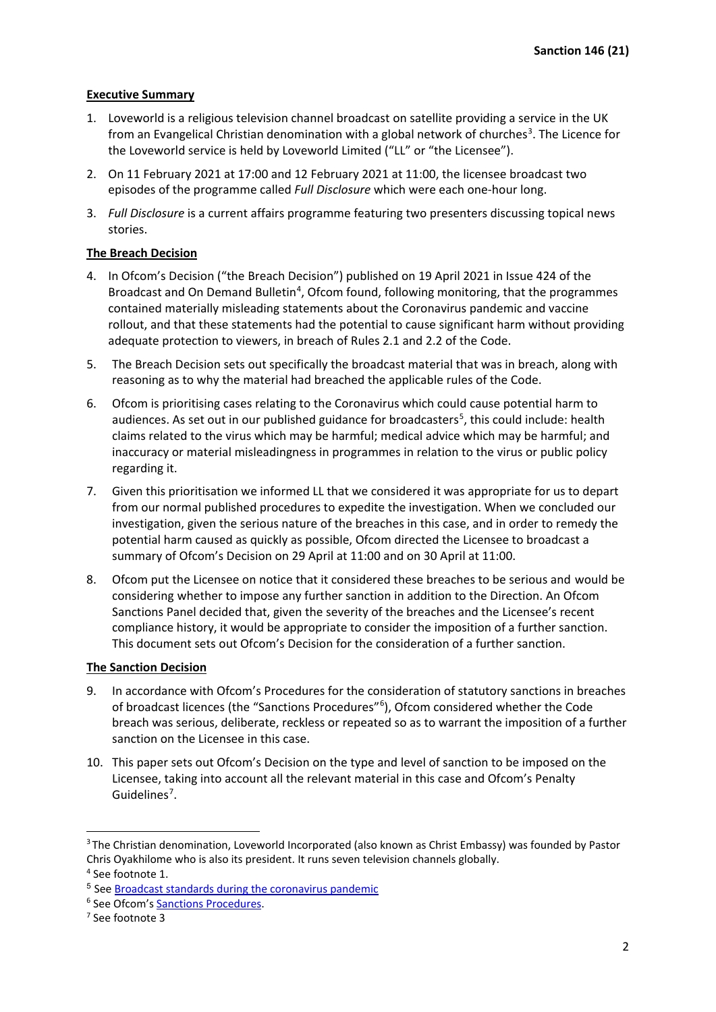## **Executive Summary**

- 1. Loveworld is a religious television channel broadcast on satellite providing a service in the UK from an Evangelical Christian denomination with a global network of churches<sup>[3](#page-1-0)</sup>. The Licence for the Loveworld service is held by Loveworld Limited ("LL" or "the Licensee").
- 2. On 11 February 2021 at 17:00 and 12 February 2021 at 11:00, the licensee broadcast two episodes of the programme called *Full Disclosure* which were each one-hour long.
- 3. *Full Disclosure* is a current affairs programme featuring two presenters discussing topical news stories.

### **The Breach Decision**

- 4. In Ofcom's Decision ("the Breach Decision") published on 19 April 2021 in Issue 424 of the Broadcast and On Demand Bulletin<sup>[4](#page-1-1)</sup>, Ofcom found, following monitoring, that the programmes contained materially misleading statements about the Coronavirus pandemic and vaccine rollout, and that these statements had the potential to cause significant harm without providing adequate protection to viewers, in breach of Rules 2.1 and 2.2 of the Code.
- 5. The Breach Decision sets out specifically the broadcast material that was in breach, along with reasoning as to why the material had breached the applicable rules of the Code.
- 6. Ofcom is prioritising cases relating to the Coronavirus which could cause potential harm to audiences. As set out in our published guidance for broadcasters<sup>[5](#page-1-2)</sup>, this could include: health claims related to the virus which may be harmful; medical advice which may be harmful; and inaccuracy or material misleadingness in programmes in relation to the virus or public policy regarding it.
- 7. Given this prioritisation we informed LL that we considered it was appropriate for us to depart from our normal published procedures to expedite the investigation. When we concluded our investigation, given the serious nature of the breaches in this case, and in order to remedy the potential harm caused as quickly as possible, Ofcom directed the Licensee to broadcast a summary of Ofcom's Decision on 29 April at 11:00 and on 30 April at 11:00.
- 8. Ofcom put the Licensee on notice that it considered these breaches to be serious and would be considering whether to impose any further sanction in addition to the Direction. An Ofcom Sanctions Panel decided that, given the severity of the breaches and the Licensee's recent compliance history, it would be appropriate to consider the imposition of a further sanction. This document sets out Ofcom's Decision for the consideration of a further sanction.

# **The Sanction Decision**

- 9. In accordance with Ofcom's Procedures for the consideration of statutory sanctions in breaches of broadcast licences (the "Sanctions Procedures"<sup>[6](#page-1-3)</sup>), Ofcom considered whether the Code breach was serious, deliberate, reckless or repeated so as to warrant the imposition of a further sanction on the Licensee in this case.
- 10. This paper sets out Ofcom's Decision on the type and level of sanction to be imposed on the Licensee, taking into account all the relevant material in this case and Ofcom's Penalty Guidelines<sup>[7](#page-1-4)</sup>.

<span id="page-1-0"></span><sup>&</sup>lt;sup>3</sup> The Christian denomination, Loveworld Incorporated (also known as Christ Embassy) was founded by Pastor Chris Oyakhilome who is also its president. It runs seven television channels globally.

<span id="page-1-1"></span><sup>4</sup> See footnote 1.

<span id="page-1-2"></span><sup>5</sup> See [Broadcast standards during the coronavirus pandemic](https://www.ofcom.org.uk/tv-radio-and-on-demand/information-for-industry/guidance/broadcast-standards-and-coronavirus)

<span id="page-1-3"></span><sup>6</sup> See Ofcom's [Sanctions Procedures.](https://www.ofcom.org.uk/__data/assets/pdf_file/0030/71967/Procedures_for_consideration.pdf)

<span id="page-1-4"></span><sup>7</sup> See footnote 3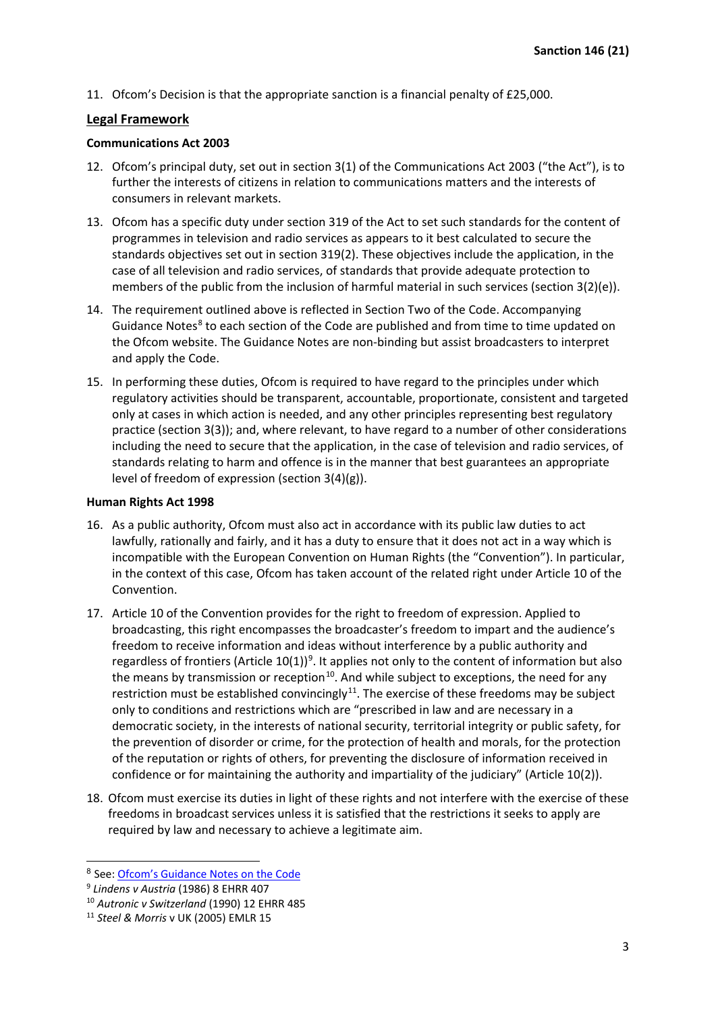11. Ofcom's Decision is that the appropriate sanction is a financial penalty of £25,000.

# **Legal Framework**

### **Communications Act 2003**

- 12. Ofcom's principal duty, set out in section 3(1) of the Communications Act 2003 ("the Act"), is to further the interests of citizens in relation to communications matters and the interests of consumers in relevant markets.
- 13. Ofcom has a specific duty under section 319 of the Act to set such standards for the content of programmes in television and radio services as appears to it best calculated to secure the standards objectives set out in section 319(2). These objectives include the application, in the case of all television and radio services, of standards that provide adequate protection to members of the public from the inclusion of harmful material in such services (section 3(2)(e)).
- 14. The requirement outlined above is reflected in Section Two of the Code. Accompanying Guidance Notes $8$  to each section of the Code are published and from time to time updated on the Ofcom website. The Guidance Notes are non-binding but assist broadcasters to interpret and apply the Code.
- 15. In performing these duties, Ofcom is required to have regard to the principles under which regulatory activities should be transparent, accountable, proportionate, consistent and targeted only at cases in which action is needed, and any other principles representing best regulatory practice (section 3(3)); and, where relevant, to have regard to a number of other considerations including the need to secure that the application, in the case of television and radio services, of standards relating to harm and offence is in the manner that best guarantees an appropriate level of freedom of expression (section 3(4)(g)).

### **Human Rights Act 1998**

- 16. As a public authority, Ofcom must also act in accordance with its public law duties to act lawfully, rationally and fairly, and it has a duty to ensure that it does not act in a way which is incompatible with the European Convention on Human Rights (the "Convention"). In particular, in the context of this case, Ofcom has taken account of the related right under Article 10 of the Convention.
- 17. Article 10 of the Convention provides for the right to freedom of expression. Applied to broadcasting, this right encompasses the broadcaster's freedom to impart and the audience's freedom to receive information and ideas without interference by a public authority and regardless of frontiers (Article  $10(1)$ )<sup>[9](#page-2-1)</sup>. It applies not only to the content of information but also the means by transmission or reception<sup>[10](#page-2-2)</sup>. And while subject to exceptions, the need for any restriction must be established convincingly $11$ . The exercise of these freedoms may be subject only to conditions and restrictions which are "prescribed in law and are necessary in a democratic society, in the interests of national security, territorial integrity or public safety, for the prevention of disorder or crime, for the protection of health and morals, for the protection of the reputation or rights of others, for preventing the disclosure of information received in confidence or for maintaining the authority and impartiality of the judiciary" (Article 10(2)).
- 18. Ofcom must exercise its duties in light of these rights and not interfere with the exercise of these freedoms in broadcast services unless it is satisfied that the restrictions it seeks to apply are required by law and necessary to achieve a legitimate aim.

<span id="page-2-0"></span><sup>8</sup> See: [Ofcom's Guidance Notes on the Code](https://www.ofcom.org.uk/tv-radio-and-on-demand/information-for-industry/guidance/programme-guidance)

<span id="page-2-1"></span><sup>9</sup> *Lindens v Austria* (1986) 8 EHRR 407

<span id="page-2-2"></span><sup>10</sup> *Autronic v Switzerland* (1990) 12 EHRR 485

<span id="page-2-3"></span><sup>11</sup> *Steel & Morris* v UK (2005) EMLR 15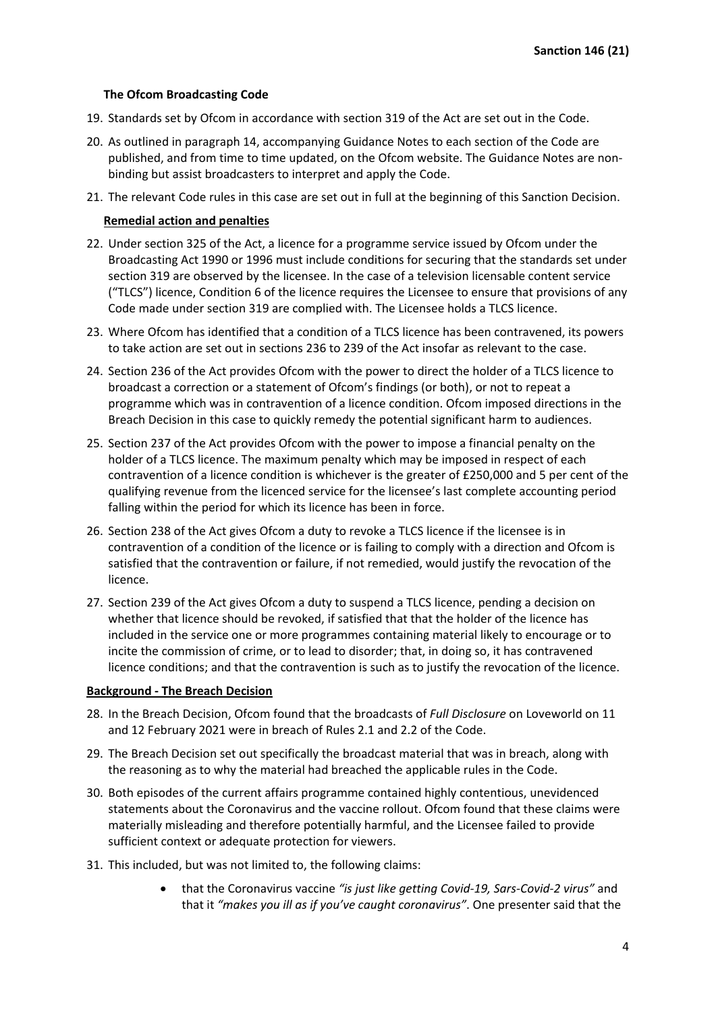#### **The Ofcom Broadcasting Code**

- 19. Standards set by Ofcom in accordance with section 319 of the Act are set out in the Code.
- 20. As outlined in paragraph 14, accompanying Guidance Notes to each section of the Code are published, and from time to time updated, on the Ofcom website. The Guidance Notes are nonbinding but assist broadcasters to interpret and apply the Code.
- 21. The relevant Code rules in this case are set out in full at the beginning of this Sanction Decision.

#### **Remedial action and penalties**

- 22. Under section 325 of the Act, a licence for a programme service issued by Ofcom under the Broadcasting Act 1990 or 1996 must include conditions for securing that the standards set under section 319 are observed by the licensee. In the case of a television licensable content service ("TLCS") licence, Condition 6 of the licence requires the Licensee to ensure that provisions of any Code made under section 319 are complied with. The Licensee holds a TLCS licence.
- 23. Where Ofcom has identified that a condition of a TLCS licence has been contravened, its powers to take action are set out in sections 236 to 239 of the Act insofar as relevant to the case.
- 24. Section 236 of the Act provides Ofcom with the power to direct the holder of a TLCS licence to broadcast a correction or a statement of Ofcom's findings (or both), or not to repeat a programme which was in contravention of a licence condition. Ofcom imposed directions in the Breach Decision in this case to quickly remedy the potential significant harm to audiences.
- 25. Section 237 of the Act provides Ofcom with the power to impose a financial penalty on the holder of a TLCS licence. The maximum penalty which may be imposed in respect of each contravention of a licence condition is whichever is the greater of £250,000 and 5 per cent of the qualifying revenue from the licenced service for the licensee's last complete accounting period falling within the period for which its licence has been in force.
- 26. Section 238 of the Act gives Ofcom a duty to revoke a TLCS licence if the licensee is in contravention of a condition of the licence or is failing to comply with a direction and Ofcom is satisfied that the contravention or failure, if not remedied, would justify the revocation of the licence.
- 27. Section 239 of the Act gives Ofcom a duty to suspend a TLCS licence, pending a decision on whether that licence should be revoked, if satisfied that that the holder of the licence has included in the service one or more programmes containing material likely to encourage or to incite the commission of crime, or to lead to disorder; that, in doing so, it has contravened licence conditions; and that the contravention is such as to justify the revocation of the licence.

#### **Background - The Breach Decision**

- 28. In the Breach Decision, Ofcom found that the broadcasts of *Full Disclosure* on Loveworld on 11 and 12 February 2021 were in breach of Rules 2.1 and 2.2 of the Code.
- 29. The Breach Decision set out specifically the broadcast material that was in breach, along with the reasoning as to why the material had breached the applicable rules in the Code.
- 30. Both episodes of the current affairs programme contained highly contentious, unevidenced statements about the Coronavirus and the vaccine rollout. Ofcom found that these claims were materially misleading and therefore potentially harmful, and the Licensee failed to provide sufficient context or adequate protection for viewers.
- 31. This included, but was not limited to, the following claims:
	- that the Coronavirus vaccine *"is just like getting Covid-19, Sars-Covid-2 virus"* and that it *"makes you ill as if you've caught coronavirus"*. One presenter said that the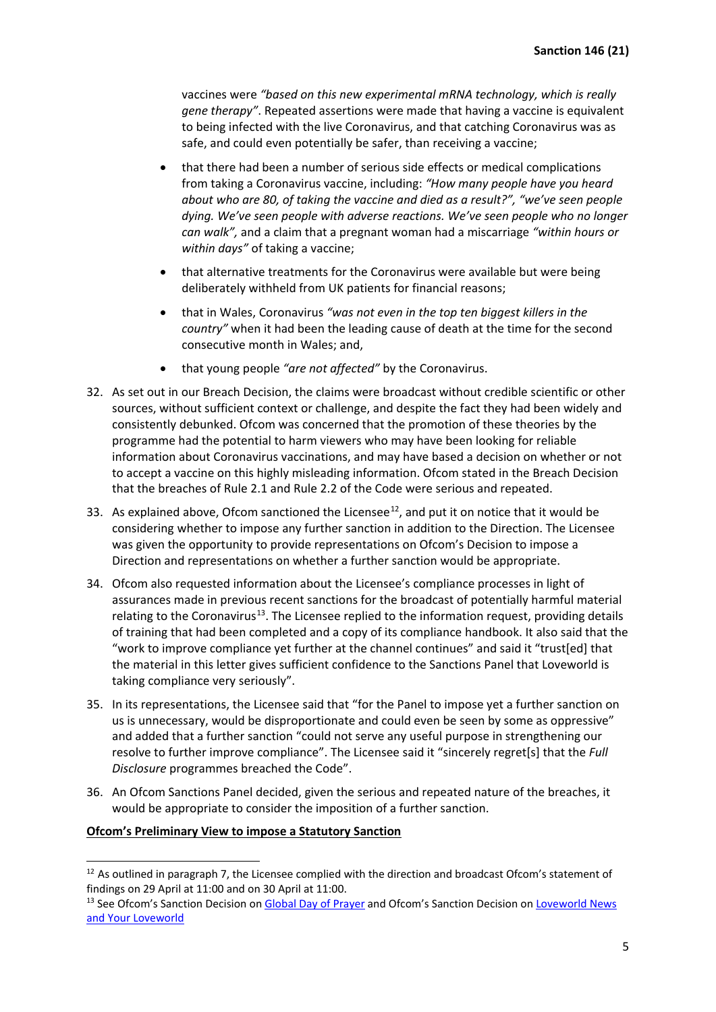vaccines were *"based on this new experimental mRNA technology, which is really gene therapy"*. Repeated assertions were made that having a vaccine is equivalent to being infected with the live Coronavirus, and that catching Coronavirus was as safe, and could even potentially be safer, than receiving a vaccine;

- that there had been a number of serious side effects or medical complications from taking a Coronavirus vaccine, including: *"How many people have you heard about who are 80, of taking the vaccine and died as a result?", "we've seen people dying. We've seen people with adverse reactions. We've seen people who no longer can walk",* and a claim that a pregnant woman had a miscarriage *"within hours or within days"* of taking a vaccine;
- that alternative treatments for the Coronavirus were available but were being deliberately withheld from UK patients for financial reasons;
- that in Wales, Coronavirus *"was not even in the top ten biggest killers in the country"* when it had been the leading cause of death at the time for the second consecutive month in Wales; and,
- that young people *"are not affected"* by the Coronavirus.
- 32. As set out in our Breach Decision, the claims were broadcast without credible scientific or other sources, without sufficient context or challenge, and despite the fact they had been widely and consistently debunked. Ofcom was concerned that the promotion of these theories by the programme had the potential to harm viewers who may have been looking for reliable information about Coronavirus vaccinations, and may have based a decision on whether or not to accept a vaccine on this highly misleading information. Ofcom stated in the Breach Decision that the breaches of Rule 2.1 and Rule 2.2 of the Code were serious and repeated.
- 33. As explained above, Ofcom sanctioned the Licensee<sup>12</sup>, and put it on notice that it would be considering whether to impose any further sanction in addition to the Direction. The Licensee was given the opportunity to provide representations on Ofcom's Decision to impose a Direction and representations on whether a further sanction would be appropriate.
- 34. Ofcom also requested information about the Licensee's compliance processes in light of assurances made in previous recent sanctions for the broadcast of potentially harmful material relating to the Coronavirus<sup>13</sup>. The Licensee replied to the information request, providing details of training that had been completed and a copy of its compliance handbook. It also said that the "work to improve compliance yet further at the channel continues" and said it "trust[ed] that the material in this letter gives sufficient confidence to the Sanctions Panel that Loveworld is taking compliance very seriously".
- 35. In its representations, the Licensee said that "for the Panel to impose yet a further sanction on us is unnecessary, would be disproportionate and could even be seen by some as oppressive" and added that a further sanction "could not serve any useful purpose in strengthening our resolve to further improve compliance". The Licensee said it "sincerely regret[s] that the *Full Disclosure* programmes breached the Code".
- 36. An Ofcom Sanctions Panel decided, given the serious and repeated nature of the breaches, it would be appropriate to consider the imposition of a further sanction.

# **Ofcom's Preliminary View to impose a Statutory Sanction**

<span id="page-4-0"></span><sup>&</sup>lt;sup>12</sup> As outlined in paragraph 7, the Licensee complied with the direction and broadcast Ofcom's statement of findings on 29 April at 11:00 and on 30 April at 11:00.

<span id="page-4-1"></span><sup>&</sup>lt;sup>13</sup> See Ofcom's Sanction Decision o[n Global Day of Prayer](https://www.ofcom.org.uk/__data/assets/pdf_file/0026/216890/Sanction-Decision-Loveworld-Limited-Global-Day-of-Prayer.pdf) and Ofcom's Sanction Decision on Loveworld News [and Your Loveworld](https://www.ofcom.org.uk/about-ofcom/latest/bulletins/content-sanctions-adjudications/decision-loveworld-limited)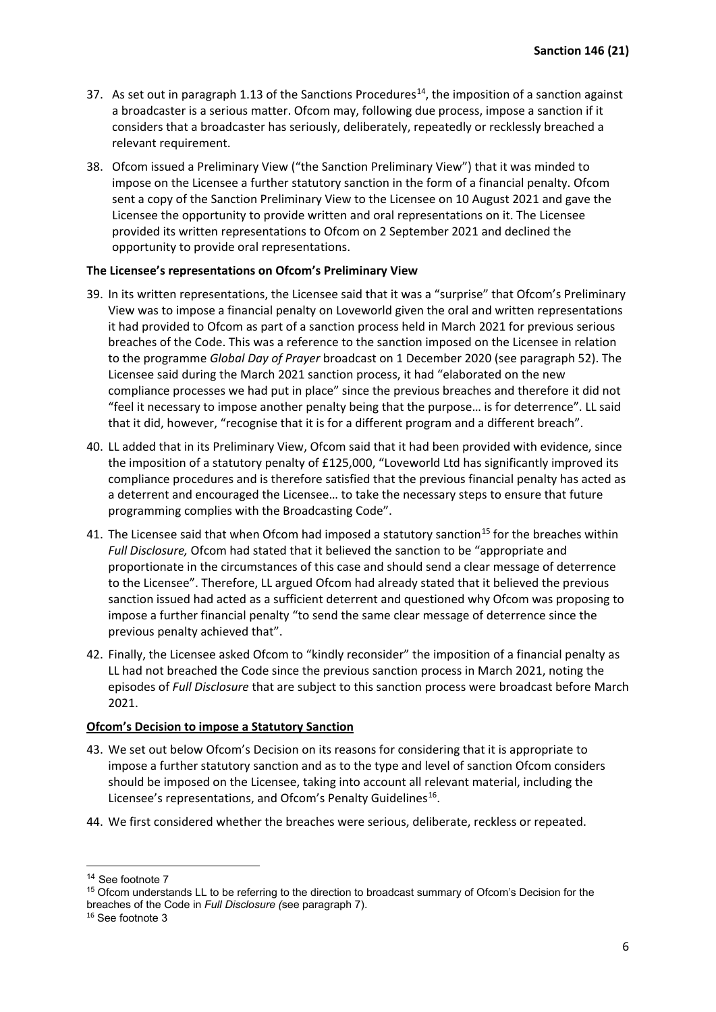- 37. As set out in paragraph 1.13 of the Sanctions Procedures<sup>14</sup>, the imposition of a sanction against a broadcaster is a serious matter. Ofcom may, following due process, impose a sanction if it considers that a broadcaster has seriously, deliberately, repeatedly or recklessly breached a relevant requirement.
- 38. Ofcom issued a Preliminary View ("the Sanction Preliminary View") that it was minded to impose on the Licensee a further statutory sanction in the form of a financial penalty. Ofcom sent a copy of the Sanction Preliminary View to the Licensee on 10 August 2021 and gave the Licensee the opportunity to provide written and oral representations on it. The Licensee provided its written representations to Ofcom on 2 September 2021 and declined the opportunity to provide oral representations.

### **The Licensee's representations on Ofcom's Preliminary View**

- 39. In its written representations, the Licensee said that it was a "surprise" that Ofcom's Preliminary View was to impose a financial penalty on Loveworld given the oral and written representations it had provided to Ofcom as part of a sanction process held in March 2021 for previous serious breaches of the Code. This was a reference to the sanction imposed on the Licensee in relation to the programme *Global Day of Prayer* broadcast on 1 December 2020 (see paragraph 52). The Licensee said during the March 2021 sanction process, it had "elaborated on the new compliance processes we had put in place" since the previous breaches and therefore it did not "feel it necessary to impose another penalty being that the purpose… is for deterrence". LL said that it did, however, "recognise that it is for a different program and a different breach".
- 40. LL added that in its Preliminary View, Ofcom said that it had been provided with evidence, since the imposition of a statutory penalty of £125,000, "Loveworld Ltd has significantly improved its compliance procedures and is therefore satisfied that the previous financial penalty has acted as a deterrent and encouraged the Licensee… to take the necessary steps to ensure that future programming complies with the Broadcasting Code".
- 41. The Licensee said that when Ofcom had imposed a statutory sanction<sup>[15](#page-5-1)</sup> for the breaches within *Full Disclosure,* Ofcom had stated that it believed the sanction to be "appropriate and proportionate in the circumstances of this case and should send a clear message of deterrence to the Licensee". Therefore, LL argued Ofcom had already stated that it believed the previous sanction issued had acted as a sufficient deterrent and questioned why Ofcom was proposing to impose a further financial penalty "to send the same clear message of deterrence since the previous penalty achieved that".
- 42. Finally, the Licensee asked Ofcom to "kindly reconsider" the imposition of a financial penalty as LL had not breached the Code since the previous sanction process in March 2021, noting the episodes of *Full Disclosure* that are subject to this sanction process were broadcast before March 2021.

#### **Ofcom's Decision to impose a Statutory Sanction**

- 43. We set out below Ofcom's Decision on its reasons for considering that it is appropriate to impose a further statutory sanction and as to the type and level of sanction Ofcom considers should be imposed on the Licensee, taking into account all relevant material, including the Licensee's representations, and Ofcom's Penalty Guidelines<sup>[16](#page-5-2)</sup>.
- 44. We first considered whether the breaches were serious, deliberate, reckless or repeated.

<sup>14</sup> See footnote 7

<span id="page-5-1"></span><span id="page-5-0"></span><sup>&</sup>lt;sup>15</sup> Ofcom understands LL to be referring to the direction to broadcast summary of Ofcom's Decision for the breaches of the Code in *Full Disclosure (*see paragraph 7).

<span id="page-5-2"></span><sup>16</sup> See footnote 3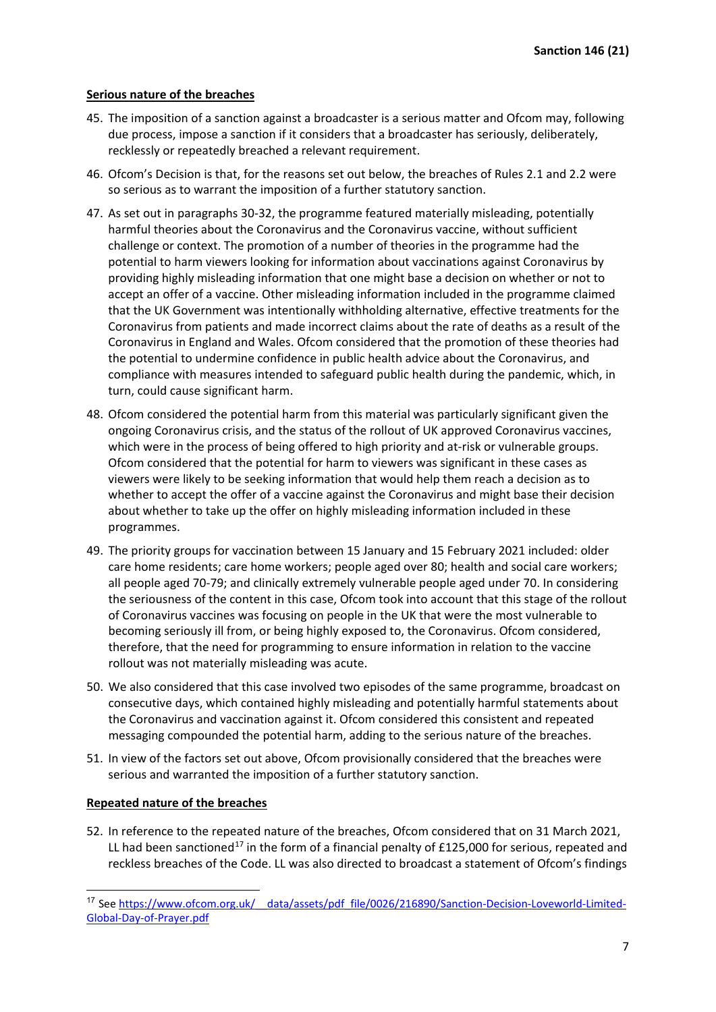#### **Serious nature of the breaches**

- 45. The imposition of a sanction against a broadcaster is a serious matter and Ofcom may, following due process, impose a sanction if it considers that a broadcaster has seriously, deliberately, recklessly or repeatedly breached a relevant requirement.
- 46. Ofcom's Decision is that, for the reasons set out below, the breaches of Rules 2.1 and 2.2 were so serious as to warrant the imposition of a further statutory sanction.
- 47. As set out in paragraphs 30-32, the programme featured materially misleading, potentially harmful theories about the Coronavirus and the Coronavirus vaccine, without sufficient challenge or context. The promotion of a number of theories in the programme had the potential to harm viewers looking for information about vaccinations against Coronavirus by providing highly misleading information that one might base a decision on whether or not to accept an offer of a vaccine. Other misleading information included in the programme claimed that the UK Government was intentionally withholding alternative, effective treatments for the Coronavirus from patients and made incorrect claims about the rate of deaths as a result of the Coronavirus in England and Wales. Ofcom considered that the promotion of these theories had the potential to undermine confidence in public health advice about the Coronavirus, and compliance with measures intended to safeguard public health during the pandemic, which, in turn, could cause significant harm.
- 48. Ofcom considered the potential harm from this material was particularly significant given the ongoing Coronavirus crisis, and the status of the rollout of UK approved Coronavirus vaccines, which were in the process of being offered to high priority and at-risk or vulnerable groups. Ofcom considered that the potential for harm to viewers was significant in these cases as viewers were likely to be seeking information that would help them reach a decision as to whether to accept the offer of a vaccine against the Coronavirus and might base their decision about whether to take up the offer on highly misleading information included in these programmes.
- 49. The priority groups for vaccination between 15 January and 15 February 2021 included: older care home residents; care home workers; people aged over 80; health and social care workers; all people aged 70-79; and clinically extremely vulnerable people aged under 70. In considering the seriousness of the content in this case, Ofcom took into account that this stage of the rollout of Coronavirus vaccines was focusing on people in the UK that were the most vulnerable to becoming seriously ill from, or being highly exposed to, the Coronavirus. Ofcom considered, therefore, that the need for programming to ensure information in relation to the vaccine rollout was not materially misleading was acute.
- 50. We also considered that this case involved two episodes of the same programme, broadcast on consecutive days, which contained highly misleading and potentially harmful statements about the Coronavirus and vaccination against it. Ofcom considered this consistent and repeated messaging compounded the potential harm, adding to the serious nature of the breaches.
- 51. In view of the factors set out above, Ofcom provisionally considered that the breaches were serious and warranted the imposition of a further statutory sanction.

#### **Repeated nature of the breaches**

52. In reference to the repeated nature of the breaches, Ofcom considered that on 31 March 2021, LL had been sanctioned<sup>[17](#page-6-0)</sup> in the form of a financial penalty of £125,000 for serious, repeated and reckless breaches of the Code. LL was also directed to broadcast a statement of Ofcom's findings

<span id="page-6-0"></span><sup>17</sup> See https://www.ofcom.org.uk/ data/assets/pdf file/0026/216890/Sanction-Decision-Loveworld-Limited-[Global-Day-of-Prayer.pdf](https://www.ofcom.org.uk/__data/assets/pdf_file/0026/216890/Sanction-Decision-Loveworld-Limited-Global-Day-of-Prayer.pdf)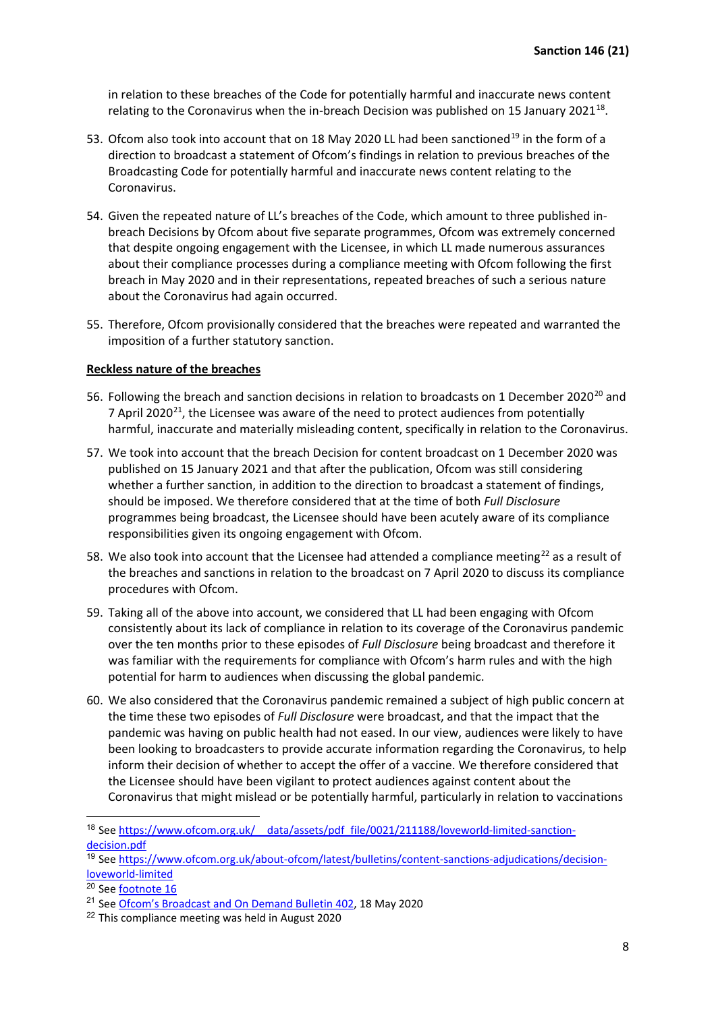in relation to these breaches of the Code for potentially harmful and inaccurate news content relating to the Coronavirus when the in-breach Decision was published on 15 January 2021<sup>[18](#page-7-0)</sup>.

- 53. Ofcom also took into account that on 18 May 2020 LL had been sanctioned<sup>[19](#page-7-1)</sup> in the form of a direction to broadcast a statement of Ofcom's findings in relation to previous breaches of the Broadcasting Code for potentially harmful and inaccurate news content relating to the Coronavirus.
- 54. Given the repeated nature of LL's breaches of the Code, which amount to three published inbreach Decisions by Ofcom about five separate programmes, Ofcom was extremely concerned that despite ongoing engagement with the Licensee, in which LL made numerous assurances about their compliance processes during a compliance meeting with Ofcom following the first breach in May 2020 and in their representations, repeated breaches of such a serious nature about the Coronavirus had again occurred.
- 55. Therefore, Ofcom provisionally considered that the breaches were repeated and warranted the imposition of a further statutory sanction.

#### **Reckless nature of the breaches**

- 56. Following the breach and sanction decisions in relation to broadcasts on 1 December [20](#page-7-2)20<sup>20</sup> and 7 April 2020 $^{21}$  $^{21}$  $^{21}$ , the Licensee was aware of the need to protect audiences from potentially harmful, inaccurate and materially misleading content, specifically in relation to the Coronavirus.
- 57. We took into account that the breach Decision for content broadcast on 1 December 2020 was published on 15 January 2021 and that after the publication, Ofcom was still considering whether a further sanction, in addition to the direction to broadcast a statement of findings, should be imposed. We therefore considered that at the time of both *Full Disclosure*  programmes being broadcast, the Licensee should have been acutely aware of its compliance responsibilities given its ongoing engagement with Ofcom.
- 58. We also took into account that the Licensee had attended a compliance meeting<sup>[22](#page-7-4)</sup> as a result of the breaches and sanctions in relation to the broadcast on 7 April 2020 to discuss its compliance procedures with Ofcom.
- 59. Taking all of the above into account, we considered that LL had been engaging with Ofcom consistently about its lack of compliance in relation to its coverage of the Coronavirus pandemic over the ten months prior to these episodes of *Full Disclosure* being broadcast and therefore it was familiar with the requirements for compliance with Ofcom's harm rules and with the high potential for harm to audiences when discussing the global pandemic.
- 60. We also considered that the Coronavirus pandemic remained a subject of high public concern at the time these two episodes of *Full Disclosure* were broadcast, and that the impact that the pandemic was having on public health had not eased. In our view, audiences were likely to have been looking to broadcasters to provide accurate information regarding the Coronavirus, to help inform their decision of whether to accept the offer of a vaccine. We therefore considered that the Licensee should have been vigilant to protect audiences against content about the Coronavirus that might mislead or be potentially harmful, particularly in relation to vaccinations

<span id="page-7-0"></span><sup>&</sup>lt;sup>18</sup> See https://www.ofcom.org.uk/ data/assets/pdf\_file/0021/211188/loveworld-limited-sanction[decision.pdf](https://www.ofcom.org.uk/__data/assets/pdf_file/0021/211188/loveworld-limited-sanction-decision.pdf)

<span id="page-7-1"></span><sup>19</sup> See [https://www.ofcom.org.uk/about-ofcom/latest/bulletins/content-sanctions-adjudications/decision](https://www.ofcom.org.uk/about-ofcom/latest/bulletins/content-sanctions-adjudications/decision-loveworld-limited)[loveworld-limited](https://www.ofcom.org.uk/about-ofcom/latest/bulletins/content-sanctions-adjudications/decision-loveworld-limited)

<span id="page-7-2"></span> $20$  See [footnote](https://www.ofcom.org.uk/__data/assets/pdf_file/0021/211188/loveworld-limited-sanction-decision.pdf) 16

<span id="page-7-3"></span><sup>21</sup> See [Ofcom's Broadcast and On Demand](https://www.ofcom.org.uk/__data/assets/pdf_file/0024/195621/Loveworld-Sanction.pdf) Bulletin 402, 18 May 2020

<span id="page-7-4"></span><sup>&</sup>lt;sup>22</sup> This compliance meeting was held in August 2020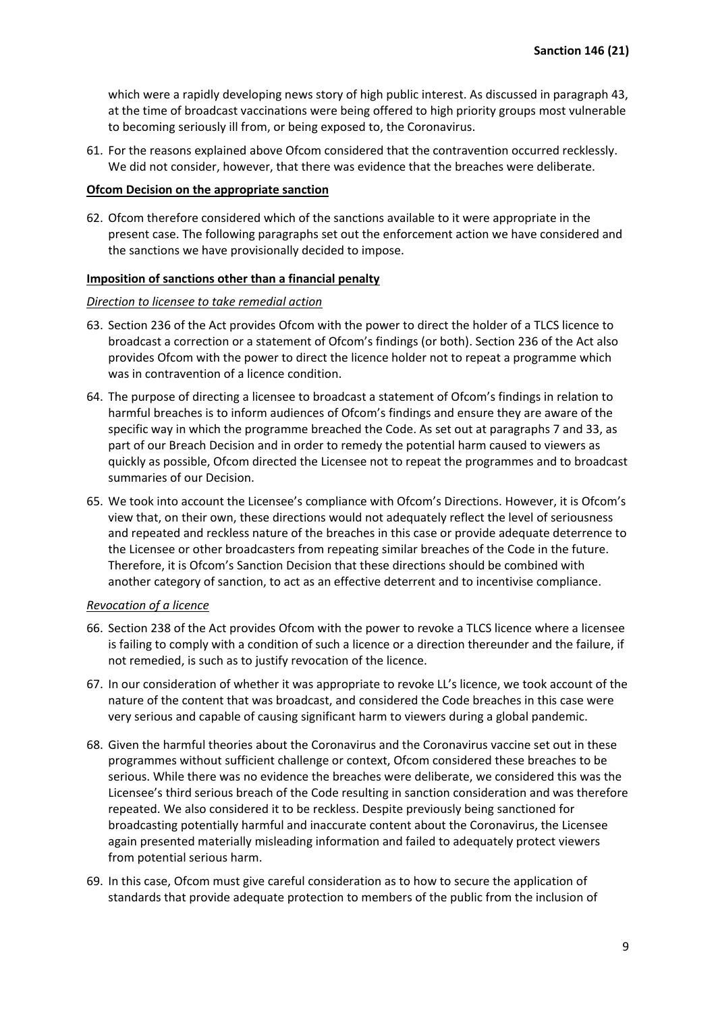which were a rapidly developing news story of high public interest. As discussed in paragraph 43, at the time of broadcast vaccinations were being offered to high priority groups most vulnerable to becoming seriously ill from, or being exposed to, the Coronavirus.

61. For the reasons explained above Ofcom considered that the contravention occurred recklessly. We did not consider, however, that there was evidence that the breaches were deliberate.

#### **Ofcom Decision on the appropriate sanction**

62. Ofcom therefore considered which of the sanctions available to it were appropriate in the present case. The following paragraphs set out the enforcement action we have considered and the sanctions we have provisionally decided to impose.

#### **Imposition of sanctions other than a financial penalty**

#### *Direction to licensee to take remedial action*

- 63. Section 236 of the Act provides Ofcom with the power to direct the holder of a TLCS licence to broadcast a correction or a statement of Ofcom's findings (or both). Section 236 of the Act also provides Ofcom with the power to direct the licence holder not to repeat a programme which was in contravention of a licence condition.
- 64. The purpose of directing a licensee to broadcast a statement of Ofcom's findings in relation to harmful breaches is to inform audiences of Ofcom's findings and ensure they are aware of the specific way in which the programme breached the Code. As set out at paragraphs 7 and 33, as part of our Breach Decision and in order to remedy the potential harm caused to viewers as quickly as possible, Ofcom directed the Licensee not to repeat the programmes and to broadcast summaries of our Decision.
- 65. We took into account the Licensee's compliance with Ofcom's Directions. However, it is Ofcom's view that, on their own, these directions would not adequately reflect the level of seriousness and repeated and reckless nature of the breaches in this case or provide adequate deterrence to the Licensee or other broadcasters from repeating similar breaches of the Code in the future. Therefore, it is Ofcom's Sanction Decision that these directions should be combined with another category of sanction, to act as an effective deterrent and to incentivise compliance.

#### *Revocation of a licence*

- 66. Section 238 of the Act provides Ofcom with the power to revoke a TLCS licence where a licensee is failing to comply with a condition of such a licence or a direction thereunder and the failure, if not remedied, is such as to justify revocation of the licence.
- 67. In our consideration of whether it was appropriate to revoke LL's licence, we took account of the nature of the content that was broadcast, and considered the Code breaches in this case were very serious and capable of causing significant harm to viewers during a global pandemic.
- 68. Given the harmful theories about the Coronavirus and the Coronavirus vaccine set out in these programmes without sufficient challenge or context, Ofcom considered these breaches to be serious. While there was no evidence the breaches were deliberate, we considered this was the Licensee's third serious breach of the Code resulting in sanction consideration and was therefore repeated. We also considered it to be reckless. Despite previously being sanctioned for broadcasting potentially harmful and inaccurate content about the Coronavirus, the Licensee again presented materially misleading information and failed to adequately protect viewers from potential serious harm.
- 69. In this case, Ofcom must give careful consideration as to how to secure the application of standards that provide adequate protection to members of the public from the inclusion of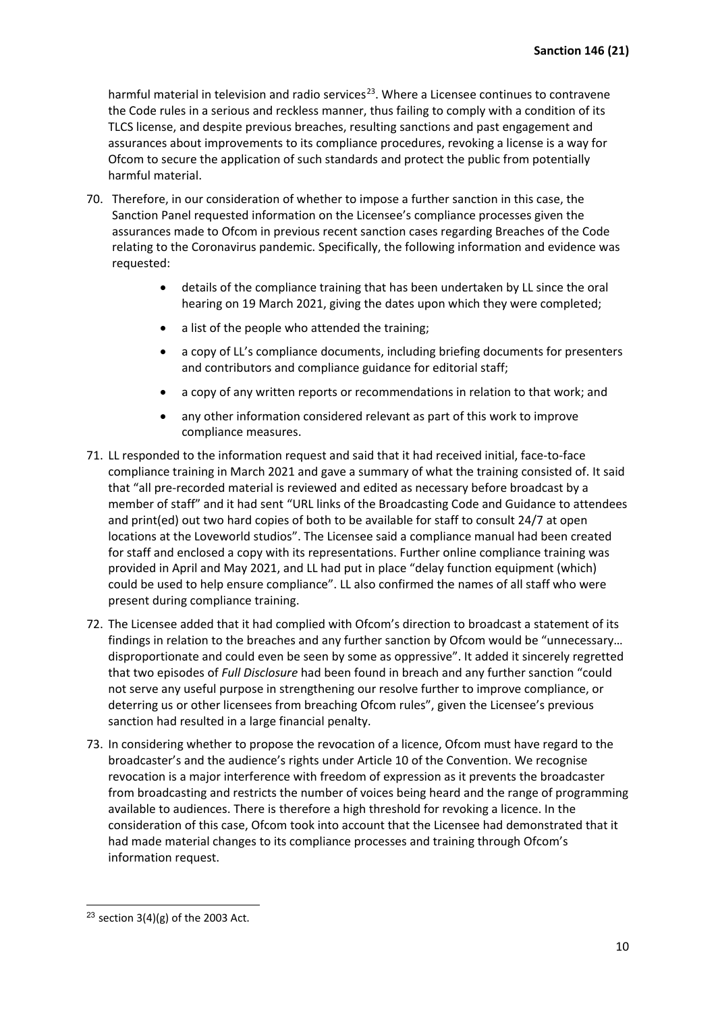harmful material in television and radio services<sup>[23](#page-9-0)</sup>. Where a Licensee continues to contravene the Code rules in a serious and reckless manner, thus failing to comply with a condition of its TLCS license, and despite previous breaches, resulting sanctions and past engagement and assurances about improvements to its compliance procedures, revoking a license is a way for Ofcom to secure the application of such standards and protect the public from potentially harmful material.

- 70. Therefore, in our consideration of whether to impose a further sanction in this case, the Sanction Panel requested information on the Licensee's compliance processes given the assurances made to Ofcom in previous recent sanction cases regarding Breaches of the Code relating to the Coronavirus pandemic. Specifically, the following information and evidence was requested:
	- details of the compliance training that has been undertaken by LL since the oral hearing on 19 March 2021, giving the dates upon which they were completed;
	- a list of the people who attended the training;
	- a copy of LL's compliance documents, including briefing documents for presenters and contributors and compliance guidance for editorial staff;
	- a copy of any written reports or recommendations in relation to that work; and
	- any other information considered relevant as part of this work to improve compliance measures.
- 71. LL responded to the information request and said that it had received initial, face-to-face compliance training in March 2021 and gave a summary of what the training consisted of. It said that "all pre-recorded material is reviewed and edited as necessary before broadcast by a member of staff" and it had sent "URL links of the Broadcasting Code and Guidance to attendees and print(ed) out two hard copies of both to be available for staff to consult 24/7 at open locations at the Loveworld studios". The Licensee said a compliance manual had been created for staff and enclosed a copy with its representations. Further online compliance training was provided in April and May 2021, and LL had put in place "delay function equipment (which) could be used to help ensure compliance". LL also confirmed the names of all staff who were present during compliance training.
- 72. The Licensee added that it had complied with Ofcom's direction to broadcast a statement of its findings in relation to the breaches and any further sanction by Ofcom would be "unnecessary… disproportionate and could even be seen by some as oppressive". It added it sincerely regretted that two episodes of *Full Disclosure* had been found in breach and any further sanction "could not serve any useful purpose in strengthening our resolve further to improve compliance, or deterring us or other licensees from breaching Ofcom rules", given the Licensee's previous sanction had resulted in a large financial penalty.
- 73. In considering whether to propose the revocation of a licence, Ofcom must have regard to the broadcaster's and the audience's rights under Article 10 of the Convention. We recognise revocation is a major interference with freedom of expression as it prevents the broadcaster from broadcasting and restricts the number of voices being heard and the range of programming available to audiences. There is therefore a high threshold for revoking a licence. In the consideration of this case, Ofcom took into account that the Licensee had demonstrated that it had made material changes to its compliance processes and training through Ofcom's information request.

<span id="page-9-0"></span><sup>&</sup>lt;sup>23</sup> section  $3(4)(g)$  of the 2003 Act.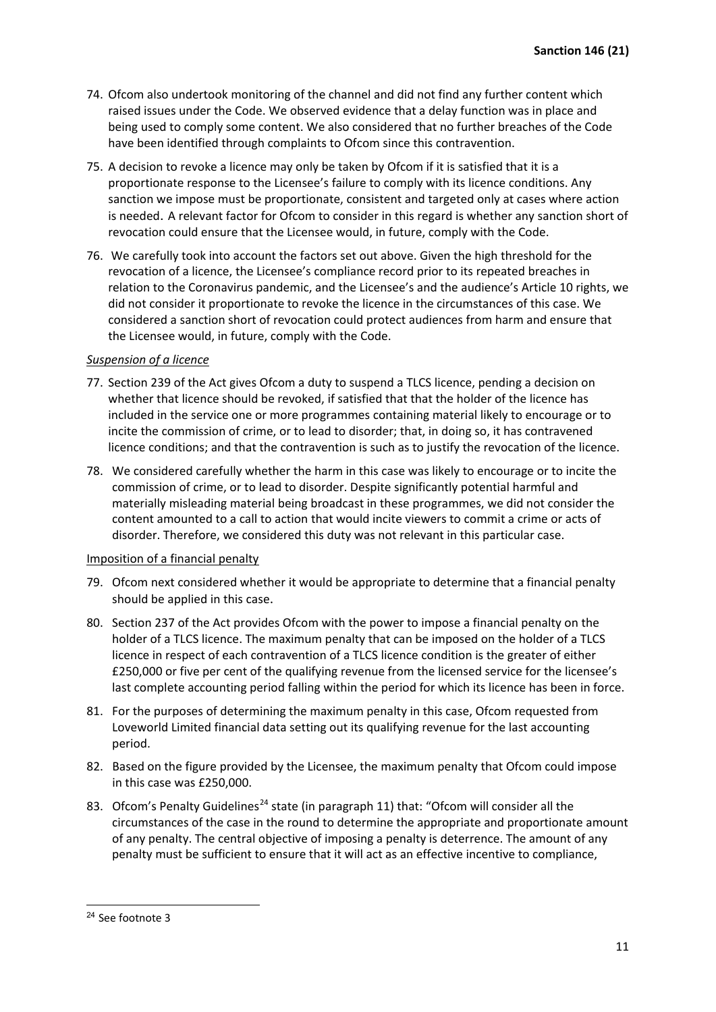- 74. Ofcom also undertook monitoring of the channel and did not find any further content which raised issues under the Code. We observed evidence that a delay function was in place and being used to comply some content. We also considered that no further breaches of the Code have been identified through complaints to Ofcom since this contravention.
- 75. A decision to revoke a licence may only be taken by Ofcom if it is satisfied that it is a proportionate response to the Licensee's failure to comply with its licence conditions. Any sanction we impose must be proportionate, consistent and targeted only at cases where action is needed. A relevant factor for Ofcom to consider in this regard is whether any sanction short of revocation could ensure that the Licensee would, in future, comply with the Code.
- 76. We carefully took into account the factors set out above. Given the high threshold for the revocation of a licence, the Licensee's compliance record prior to its repeated breaches in relation to the Coronavirus pandemic, and the Licensee's and the audience's Article 10 rights, we did not consider it proportionate to revoke the licence in the circumstances of this case. We considered a sanction short of revocation could protect audiences from harm and ensure that the Licensee would, in future, comply with the Code.

#### *Suspension of a licence*

- 77. Section 239 of the Act gives Ofcom a duty to suspend a TLCS licence, pending a decision on whether that licence should be revoked, if satisfied that that the holder of the licence has included in the service one or more programmes containing material likely to encourage or to incite the commission of crime, or to lead to disorder; that, in doing so, it has contravened licence conditions; and that the contravention is such as to justify the revocation of the licence.
- 78. We considered carefully whether the harm in this case was likely to encourage or to incite the commission of crime, or to lead to disorder. Despite significantly potential harmful and materially misleading material being broadcast in these programmes, we did not consider the content amounted to a call to action that would incite viewers to commit a crime or acts of disorder. Therefore, we considered this duty was not relevant in this particular case.

#### Imposition of a financial penalty

- 79. Ofcom next considered whether it would be appropriate to determine that a financial penalty should be applied in this case.
- 80. Section 237 of the Act provides Ofcom with the power to impose a financial penalty on the holder of a TLCS licence. The maximum penalty that can be imposed on the holder of a TLCS licence in respect of each contravention of a TLCS licence condition is the greater of either £250,000 or five per cent of the qualifying revenue from the licensed service for the licensee's last complete accounting period falling within the period for which its licence has been in force.
- 81. For the purposes of determining the maximum penalty in this case, Ofcom requested from Loveworld Limited financial data setting out its qualifying revenue for the last accounting period.
- 82. Based on the figure provided by the Licensee, the maximum penalty that Ofcom could impose in this case was £250,000.
- 83. Ofcom's Penalty Guidelines<sup>[24](#page-10-0)</sup> state (in paragraph 11) that: "Ofcom will consider all the circumstances of the case in the round to determine the appropriate and proportionate amount of any penalty. The central objective of imposing a penalty is deterrence. The amount of any penalty must be sufficient to ensure that it will act as an effective incentive to compliance,

<span id="page-10-0"></span><sup>24</sup> See footnote 3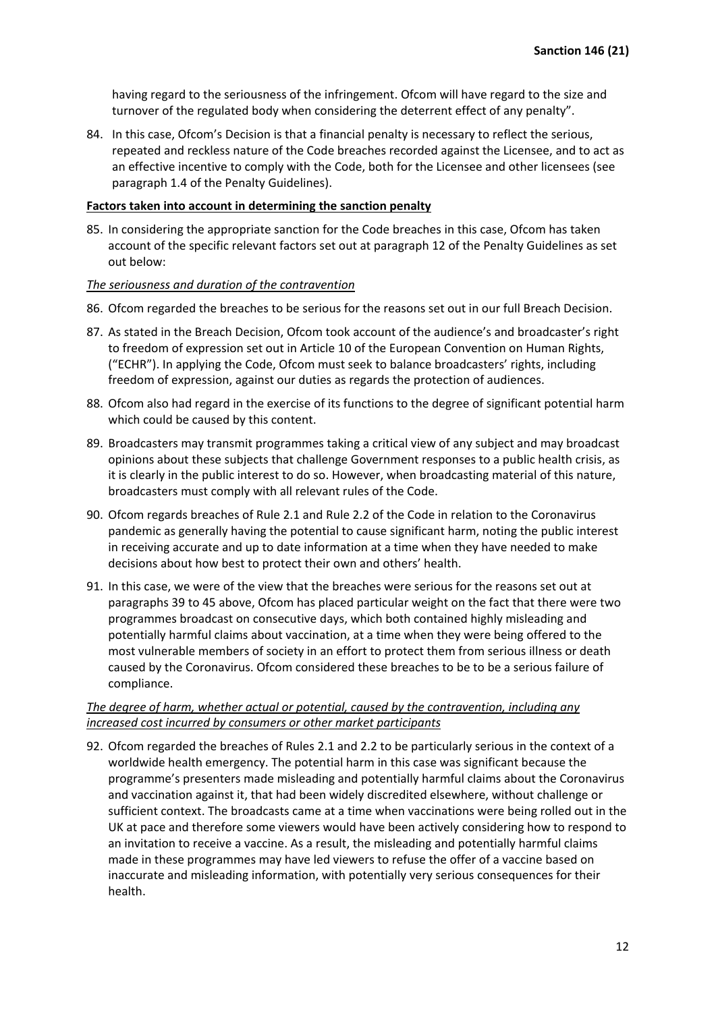having regard to the seriousness of the infringement. Ofcom will have regard to the size and turnover of the regulated body when considering the deterrent effect of any penalty".

84. In this case, Ofcom's Decision is that a financial penalty is necessary to reflect the serious, repeated and reckless nature of the Code breaches recorded against the Licensee, and to act as an effective incentive to comply with the Code, both for the Licensee and other licensees (see paragraph 1.4 of the Penalty Guidelines).

### **Factors taken into account in determining the sanction penalty**

85. In considering the appropriate sanction for the Code breaches in this case, Ofcom has taken account of the specific relevant factors set out at paragraph 12 of the Penalty Guidelines as set out below:

#### *The seriousness and duration of the contravention*

- 86. Ofcom regarded the breaches to be serious for the reasons set out in our full Breach Decision.
- 87. As stated in the Breach Decision, Ofcom took account of the audience's and broadcaster's right to freedom of expression set out in Article 10 of the European Convention on Human Rights, ("ECHR"). In applying the Code, Ofcom must seek to balance broadcasters' rights, including freedom of expression, against our duties as regards the protection of audiences.
- 88. Ofcom also had regard in the exercise of its functions to the degree of significant potential harm which could be caused by this content.
- 89. Broadcasters may transmit programmes taking a critical view of any subject and may broadcast opinions about these subjects that challenge Government responses to a public health crisis, as it is clearly in the public interest to do so. However, when broadcasting material of this nature, broadcasters must comply with all relevant rules of the Code.
- 90. Ofcom regards breaches of Rule 2.1 and Rule 2.2 of the Code in relation to the Coronavirus pandemic as generally having the potential to cause significant harm, noting the public interest in receiving accurate and up to date information at a time when they have needed to make decisions about how best to protect their own and others' health.
- 91. In this case, we were of the view that the breaches were serious for the reasons set out at paragraphs 39 to 45 above, Ofcom has placed particular weight on the fact that there were two programmes broadcast on consecutive days, which both contained highly misleading and potentially harmful claims about vaccination, at a time when they were being offered to the most vulnerable members of society in an effort to protect them from serious illness or death caused by the Coronavirus. Ofcom considered these breaches to be to be a serious failure of compliance.

### *The degree of harm, whether actual or potential, caused by the contravention, including any increased cost incurred by consumers or other market participants*

92. Ofcom regarded the breaches of Rules 2.1 and 2.2 to be particularly serious in the context of a worldwide health emergency. The potential harm in this case was significant because the programme's presenters made misleading and potentially harmful claims about the Coronavirus and vaccination against it, that had been widely discredited elsewhere, without challenge or sufficient context. The broadcasts came at a time when vaccinations were being rolled out in the UK at pace and therefore some viewers would have been actively considering how to respond to an invitation to receive a vaccine. As a result, the misleading and potentially harmful claims made in these programmes may have led viewers to refuse the offer of a vaccine based on inaccurate and misleading information, with potentially very serious consequences for their health.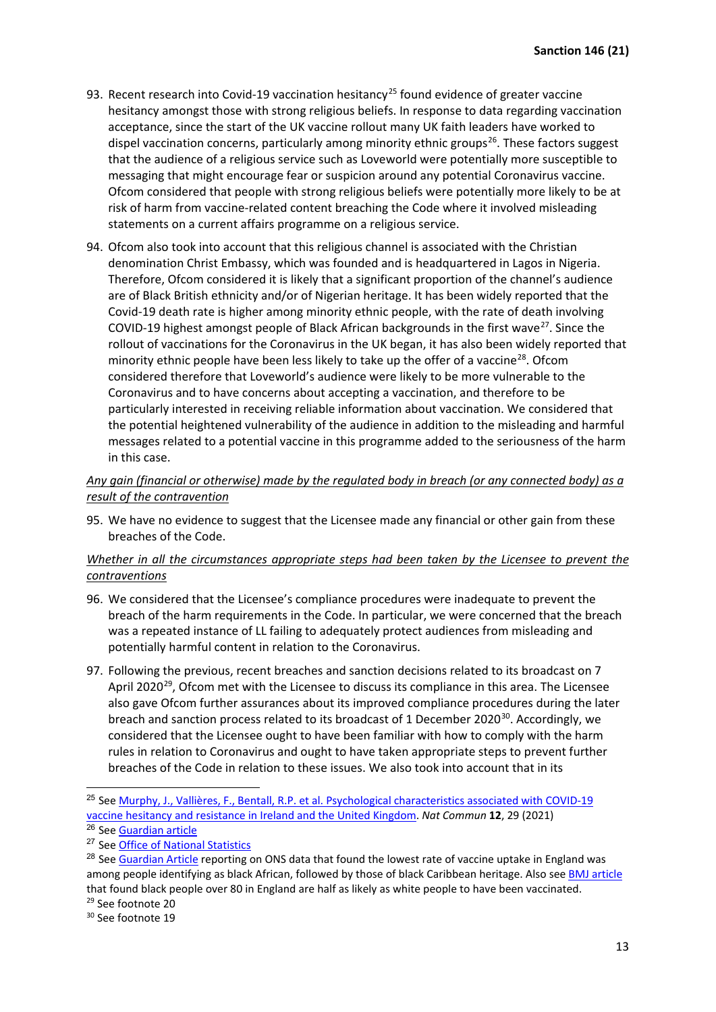- 93. Recent research into Covid-19 vaccination hesitancy<sup>[25](#page-12-0)</sup> found evidence of greater vaccine hesitancy amongst those with strong religious beliefs. In response to data regarding vaccination acceptance, since the start of the UK vaccine rollout many UK faith leaders have worked to dispel vaccination concerns, particularly among minority ethnic groups<sup>[26](#page-12-1)</sup>. These factors suggest that the audience of a religious service such as Loveworld were potentially more susceptible to messaging that might encourage fear or suspicion around any potential Coronavirus vaccine. Ofcom considered that people with strong religious beliefs were potentially more likely to be at risk of harm from vaccine-related content breaching the Code where it involved misleading statements on a current affairs programme on a religious service.
- 94. Ofcom also took into account that this religious channel is associated with the Christian denomination Christ Embassy, which was founded and is headquartered in Lagos in Nigeria. Therefore, Ofcom considered it is likely that a significant proportion of the channel's audience are of Black British ethnicity and/or of Nigerian heritage. It has been widely reported that the Covid-19 death rate is higher among minority ethnic people, with the rate of death involving COVID-19 highest amongst people of Black African backgrounds in the first wave<sup>27</sup>. Since the rollout of vaccinations for the Coronavirus in the UK began, it has also been widely reported that minority ethnic people have been less likely to take up the offer of a vaccine<sup>28</sup>. Ofcom considered therefore that Loveworld's audience were likely to be more vulnerable to the Coronavirus and to have concerns about accepting a vaccination, and therefore to be particularly interested in receiving reliable information about vaccination. We considered that the potential heightened vulnerability of the audience in addition to the misleading and harmful messages related to a potential vaccine in this programme added to the seriousness of the harm in this case.

## *Any gain (financial or otherwise) made by the regulated body in breach (or any connected body) as a result of the contravention*

95. We have no evidence to suggest that the Licensee made any financial or other gain from these breaches of the Code.

### *Whether in all the circumstances appropriate steps had been taken by the Licensee to prevent the contraventions*

- 96. We considered that the Licensee's compliance procedures were inadequate to prevent the breach of the harm requirements in the Code. In particular, we were concerned that the breach was a repeated instance of LL failing to adequately protect audiences from misleading and potentially harmful content in relation to the Coronavirus.
- 97. Following the previous, recent breaches and sanction decisions related to its broadcast on 7 April 2020<sup>[29](#page-12-4)</sup>, Ofcom met with the Licensee to discuss its compliance in this area. The Licensee also gave Ofcom further assurances about its improved compliance procedures during the later breach and sanction process related to its broadcast of 1 December 2020<sup>[30](#page-12-5)</sup>. Accordingly, we considered that the Licensee ought to have been familiar with how to comply with the harm rules in relation to Coronavirus and ought to have taken appropriate steps to prevent further breaches of the Code in relation to these issues. We also took into account that in its

<span id="page-12-0"></span><sup>&</sup>lt;sup>25</sup> See Murphy, J., Vallières, F., Bentall, R.P. et al. Psychological characteristics associated with COVID-19 [vaccine hesitancy and resistance in Ireland and the United Kingdom.](https://www.nature.com/articles/s41467-020-20226-9) *Nat Commun* **12**, 29 (2021)

<span id="page-12-1"></span><sup>26</sup> See [Guardian article](https://www.theguardian.com/society/2021/feb/07/faith-leaders-join-to-counter-fears-over-vaccine-among-bame-communities)

<span id="page-12-2"></span><sup>27</sup> See [Office of National Statistics](https://www.ons.gov.uk/peoplepopulationandcommunity/birthsdeathsandmarriages/deaths/articles/updatingethniccontrastsindeathsinvolvingthecoronaviruscovid19englandandwales/24january2020to31march2021)

<span id="page-12-3"></span><sup>&</sup>lt;sup>28</sup> See [Guardian Article](https://www.theguardian.com/world/2021/mar/29/study-low-covid-jab-take-up-black-people-england) reporting on ONS data that found the lowest rate of vaccine uptake in England was among people identifying as black African, followed by those of black Caribbean heritage. Also see [BMJ article](https://www.bmj.com/content/372/bmj.n357) that found black people over 80 in England are half as likely as white people to have been vaccinated. <sup>29</sup> See footnote 20

<span id="page-12-4"></span>

<span id="page-12-5"></span><sup>30</sup> See footnote 19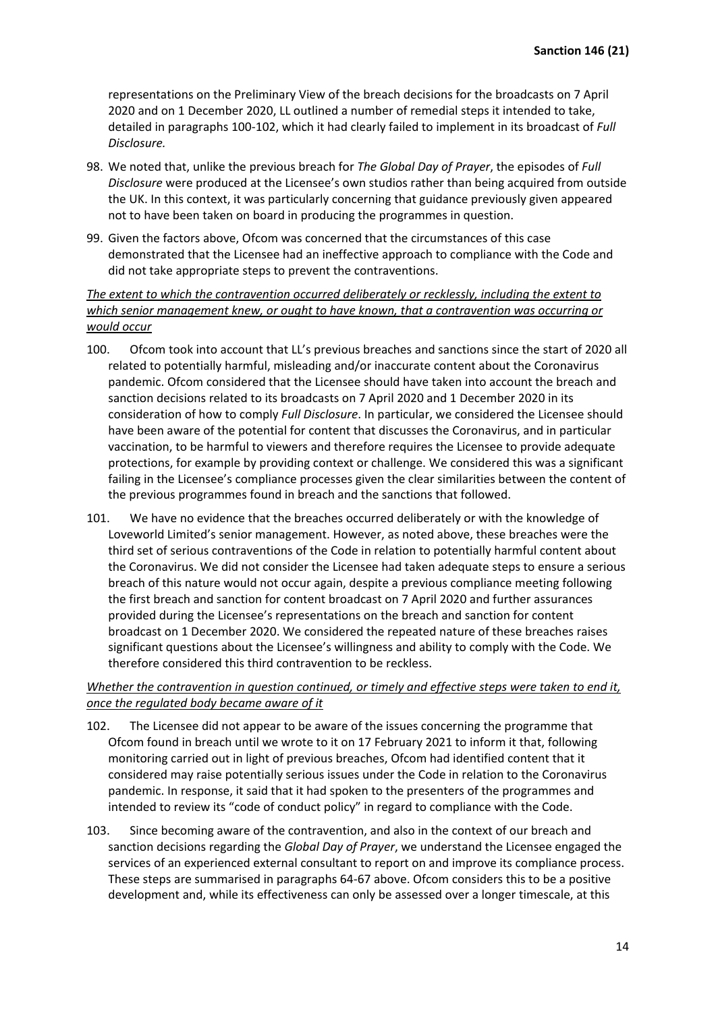representations on the Preliminary View of the breach decisions for the broadcasts on 7 April 2020 and on 1 December 2020, LL outlined a number of remedial steps it intended to take, detailed in paragraphs 100-102, which it had clearly failed to implement in its broadcast of *Full Disclosure.* 

- 98. We noted that, unlike the previous breach for *The Global Day of Prayer*, the episodes of *Full Disclosure* were produced at the Licensee's own studios rather than being acquired from outside the UK. In this context, it was particularly concerning that guidance previously given appeared not to have been taken on board in producing the programmes in question.
- 99. Given the factors above, Ofcom was concerned that the circumstances of this case demonstrated that the Licensee had an ineffective approach to compliance with the Code and did not take appropriate steps to prevent the contraventions.

*The extent to which the contravention occurred deliberately or recklessly, including the extent to which senior management knew, or ought to have known, that a contravention was occurring or would occur*

- 100. Ofcom took into account that LL's previous breaches and sanctions since the start of 2020 all related to potentially harmful, misleading and/or inaccurate content about the Coronavirus pandemic. Ofcom considered that the Licensee should have taken into account the breach and sanction decisions related to its broadcasts on 7 April 2020 and 1 December 2020 in its consideration of how to comply *Full Disclosure*. In particular, we considered the Licensee should have been aware of the potential for content that discusses the Coronavirus, and in particular vaccination, to be harmful to viewers and therefore requires the Licensee to provide adequate protections, for example by providing context or challenge. We considered this was a significant failing in the Licensee's compliance processes given the clear similarities between the content of the previous programmes found in breach and the sanctions that followed.
- 101. We have no evidence that the breaches occurred deliberately or with the knowledge of Loveworld Limited's senior management. However, as noted above, these breaches were the third set of serious contraventions of the Code in relation to potentially harmful content about the Coronavirus. We did not consider the Licensee had taken adequate steps to ensure a serious breach of this nature would not occur again, despite a previous compliance meeting following the first breach and sanction for content broadcast on 7 April 2020 and further assurances provided during the Licensee's representations on the breach and sanction for content broadcast on 1 December 2020. We considered the repeated nature of these breaches raises significant questions about the Licensee's willingness and ability to comply with the Code. We therefore considered this third contravention to be reckless.

## *Whether the contravention in question continued, or timely and effective steps were taken to end it, once the regulated body became aware of it*

- 102. The Licensee did not appear to be aware of the issues concerning the programme that Ofcom found in breach until we wrote to it on 17 February 2021 to inform it that, following monitoring carried out in light of previous breaches, Ofcom had identified content that it considered may raise potentially serious issues under the Code in relation to the Coronavirus pandemic. In response, it said that it had spoken to the presenters of the programmes and intended to review its "code of conduct policy" in regard to compliance with the Code.
- 103. Since becoming aware of the contravention, and also in the context of our breach and sanction decisions regarding the *Global Day of Prayer*, we understand the Licensee engaged the services of an experienced external consultant to report on and improve its compliance process. These steps are summarised in paragraphs 64-67 above. Ofcom considers this to be a positive development and, while its effectiveness can only be assessed over a longer timescale, at this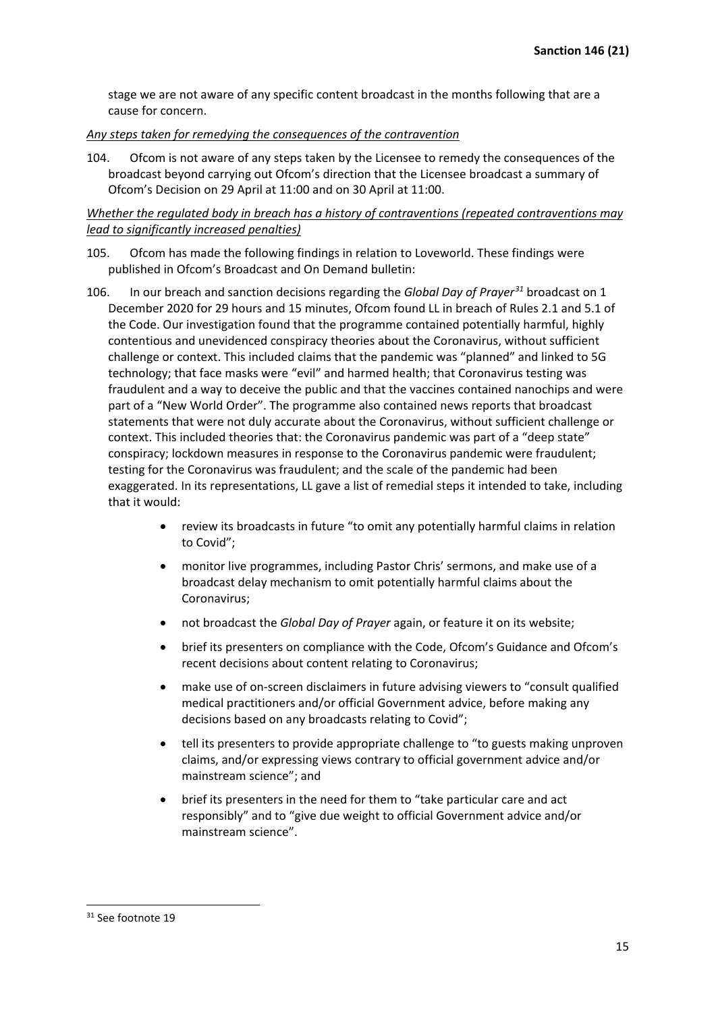stage we are not aware of any specific content broadcast in the months following that are a cause for concern.

### *Any steps taken for remedying the consequences of the contravention*

104. Ofcom is not aware of any steps taken by the Licensee to remedy the consequences of the broadcast beyond carrying out Ofcom's direction that the Licensee broadcast a summary of Ofcom's Decision on 29 April at 11:00 and on 30 April at 11:00.

*Whether the regulated body in breach has a history of contraventions (repeated contraventions may lead to significantly increased penalties)*

- 105. Ofcom has made the following findings in relation to Loveworld. These findings were published in Ofcom's Broadcast and On Demand bulletin:
- 106. In our breach and sanction decisions regarding the *Global Day of Prayer[31](#page-14-0)* broadcast on 1 December 2020 for 29 hours and 15 minutes, Ofcom found LL in breach of Rules 2.1 and 5.1 of the Code. Our investigation found that the programme contained potentially harmful, highly contentious and unevidenced conspiracy theories about the Coronavirus, without sufficient challenge or context. This included claims that the pandemic was "planned" and linked to 5G technology; that face masks were "evil" and harmed health; that Coronavirus testing was fraudulent and a way to deceive the public and that the vaccines contained nanochips and were part of a "New World Order". The programme also contained news reports that broadcast statements that were not duly accurate about the Coronavirus, without sufficient challenge or context. This included theories that: the Coronavirus pandemic was part of a "deep state" conspiracy; lockdown measures in response to the Coronavirus pandemic were fraudulent; testing for the Coronavirus was fraudulent; and the scale of the pandemic had been exaggerated. In its representations, LL gave a list of remedial steps it intended to take, including that it would:
	- review its broadcasts in future "to omit any potentially harmful claims in relation to Covid";
	- monitor live programmes, including Pastor Chris' sermons, and make use of a broadcast delay mechanism to omit potentially harmful claims about the Coronavirus;
	- not broadcast the *Global Day of Prayer* again, or feature it on its website;
	- brief its presenters on compliance with the Code, Ofcom's Guidance and Ofcom's recent decisions about content relating to Coronavirus;
	- make use of on-screen disclaimers in future advising viewers to "consult qualified medical practitioners and/or official Government advice, before making any decisions based on any broadcasts relating to Covid";
	- tell its presenters to provide appropriate challenge to "to guests making unproven claims, and/or expressing views contrary to official government advice and/or mainstream science"; and
	- brief its presenters in the need for them to "take particular care and act responsibly" and to "give due weight to official Government advice and/or mainstream science".

<span id="page-14-0"></span><sup>&</sup>lt;sup>31</sup> See footnote 19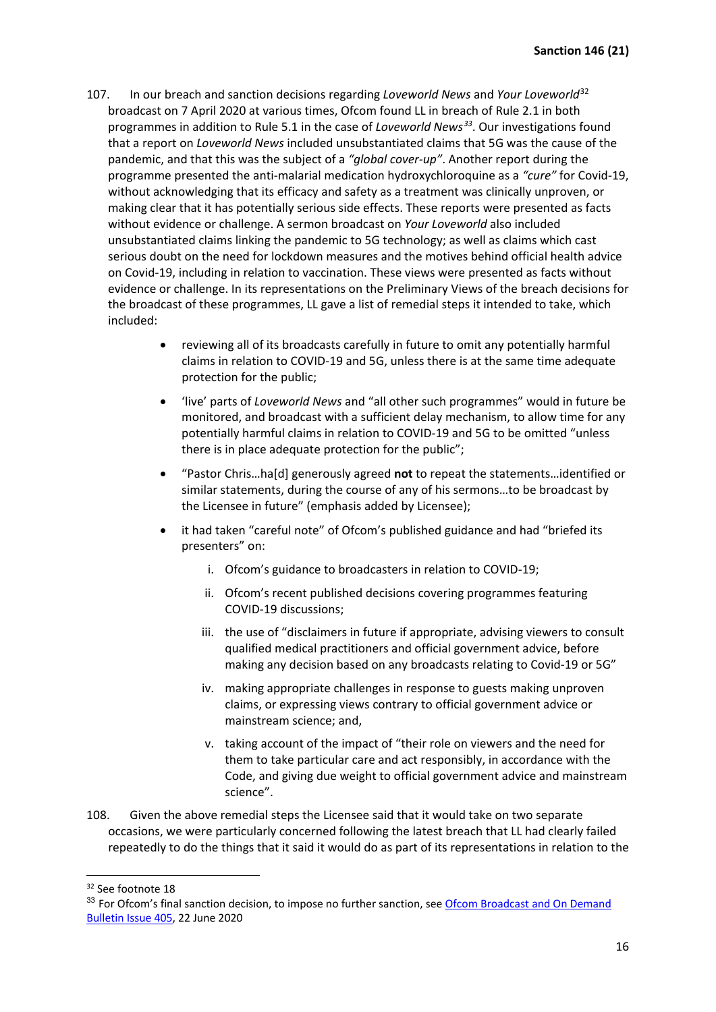- 107. In our breach and sanction decisions regarding *Loveworld News* and *Your Loveworld*[32](#page-15-0) broadcast on 7 April 2020 at various times, Ofcom found LL in breach of Rule 2.1 in both programmes in addition to Rule 5.1 in the case of *Loveworld News[33](#page-15-1)*. Our investigations found that a report on *Loveworld News* included unsubstantiated claims that 5G was the cause of the pandemic, and that this was the subject of a *"global cover-up"*. Another report during the programme presented the anti-malarial medication hydroxychloroquine as a *"cure"* for Covid-19, without acknowledging that its efficacy and safety as a treatment was clinically unproven, or making clear that it has potentially serious side effects. These reports were presented as facts without evidence or challenge. A sermon broadcast on *Your Loveworld* also included unsubstantiated claims linking the pandemic to 5G technology; as well as claims which cast serious doubt on the need for lockdown measures and the motives behind official health advice on Covid-19, including in relation to vaccination. These views were presented as facts without evidence or challenge. In its representations on the Preliminary Views of the breach decisions for the broadcast of these programmes, LL gave a list of remedial steps it intended to take, which included:
	- reviewing all of its broadcasts carefully in future to omit any potentially harmful claims in relation to COVID-19 and 5G, unless there is at the same time adequate protection for the public;
	- 'live' parts of *Loveworld News* and "all other such programmes" would in future be monitored, and broadcast with a sufficient delay mechanism, to allow time for any potentially harmful claims in relation to COVID-19 and 5G to be omitted "unless there is in place adequate protection for the public";
	- "Pastor Chris…ha[d] generously agreed **not** to repeat the statements…identified or similar statements, during the course of any of his sermons…to be broadcast by the Licensee in future" (emphasis added by Licensee);
	- it had taken "careful note" of Ofcom's published guidance and had "briefed its presenters" on:
		- i. Ofcom's guidance to broadcasters in relation to COVID-19;
		- ii. Ofcom's recent published decisions covering programmes featuring COVID-19 discussions;
		- iii. the use of "disclaimers in future if appropriate, advising viewers to consult qualified medical practitioners and official government advice, before making any decision based on any broadcasts relating to Covid-19 or 5G"
		- iv. making appropriate challenges in response to guests making unproven claims, or expressing views contrary to official government advice or mainstream science; and,
		- v. taking account of the impact of "their role on viewers and the need for them to take particular care and act responsibly, in accordance with the Code, and giving due weight to official government advice and mainstream science".
- 108. Given the above remedial steps the Licensee said that it would take on two separate occasions, we were particularly concerned following the latest breach that LL had clearly failed repeatedly to do the things that it said it would do as part of its representations in relation to the

<span id="page-15-0"></span><sup>&</sup>lt;sup>32</sup> See footnote 18

<span id="page-15-1"></span><sup>33</sup> For Ofcom's final sanction decision, to impose no further sanction, see Ofcom Broadcast and On Demand [Bulletin Issue 405,](https://www.ofcom.org.uk/__data/assets/pdf_file/0028/197074/Decision-by-Ofcoms-Sanction-Panel-Loveworld-Limited.pdf) 22 June 2020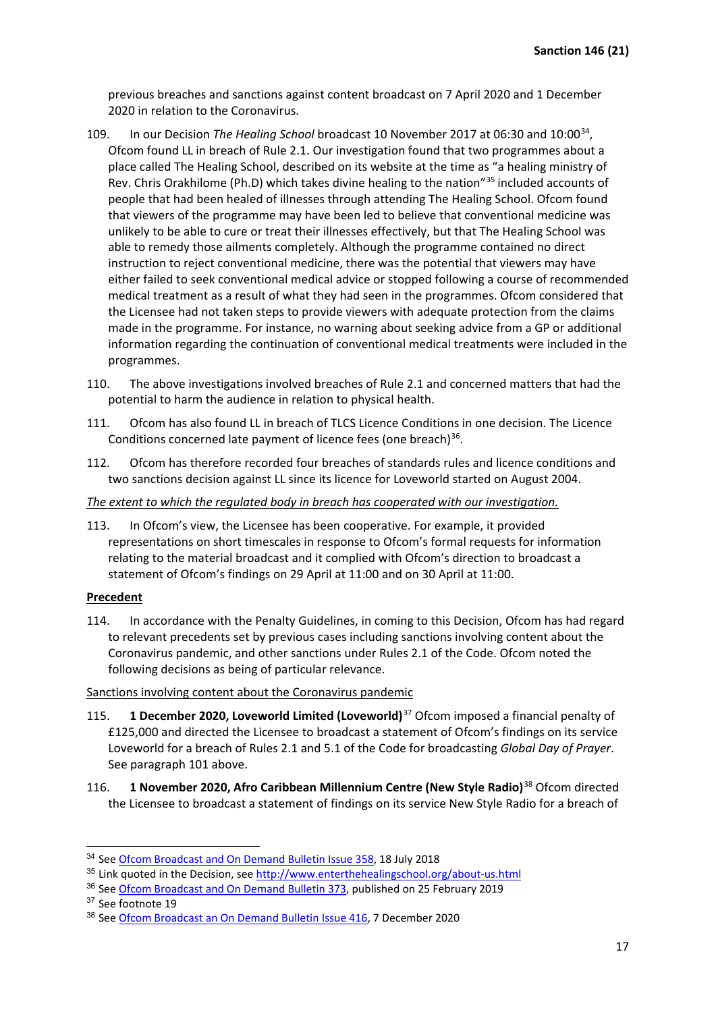previous breaches and sanctions against content broadcast on 7 April 2020 and 1 December 2020 in relation to the Coronavirus.

- 109. In our Decision *The Healing School* broadcast 10 November 2017 at 06:30 and 10:00<sup>[34](#page-16-0)</sup>, Ofcom found LL in breach of Rule 2.1. Our investigation found that two programmes about a place called The Healing School, described on its website at the time as "a healing ministry of Rev. Chris Orakhilome (Ph.D) which takes divine healing to the nation"<sup>[35](#page-16-1)</sup> included accounts of people that had been healed of illnesses through attending The Healing School. Ofcom found that viewers of the programme may have been led to believe that conventional medicine was unlikely to be able to cure or treat their illnesses effectively, but that The Healing School was able to remedy those ailments completely. Although the programme contained no direct instruction to reject conventional medicine, there was the potential that viewers may have either failed to seek conventional medical advice or stopped following a course of recommended medical treatment as a result of what they had seen in the programmes. Ofcom considered that the Licensee had not taken steps to provide viewers with adequate protection from the claims made in the programme. For instance, no warning about seeking advice from a GP or additional information regarding the continuation of conventional medical treatments were included in the programmes.
- 110. The above investigations involved breaches of Rule 2.1 and concerned matters that had the potential to harm the audience in relation to physical health.
- 111. Ofcom has also found LL in breach of TLCS Licence Conditions in one decision. The Licence Conditions concerned late payment of licence fees (one breach) $36$ .
- 112. Ofcom has therefore recorded four breaches of standards rules and licence conditions and two sanctions decision against LL since its licence for Loveworld started on August 2004.

### *The extent to which the regulated body in breach has cooperated with our investigation.*

113. In Ofcom's view, the Licensee has been cooperative. For example, it provided representations on short timescales in response to Ofcom's formal requests for information relating to the material broadcast and it complied with Ofcom's direction to broadcast a statement of Ofcom's findings on 29 April at 11:00 and on 30 April at 11:00.

### **Precedent**

114. In accordance with the Penalty Guidelines, in coming to this Decision, Ofcom has had regard to relevant precedents set by previous cases including sanctions involving content about the Coronavirus pandemic, and other sanctions under Rules 2.1 of the Code. Ofcom noted the following decisions as being of particular relevance.

#### Sanctions involving content about the Coronavirus pandemic

- 115. **1 December 2020, Loveworld Limited (Loveworld)**[37](#page-16-3) Ofcom imposed a financial penalty of £125,000 and directed the Licensee to broadcast a statement of Ofcom's findings on its service Loveworld for a breach of Rules 2.1 and 5.1 of the Code for broadcasting *Global Day of Prayer*. See paragraph 101 above.
- 116. **1 November 2020, Afro Caribbean Millennium Centre (New Style Radio)**[38](#page-16-4) Ofcom directed the Licensee to broadcast a statement of findings on its service New Style Radio for a breach of

<span id="page-16-0"></span><sup>&</sup>lt;sup>34</sup> See [Ofcom Broadcast and On Demand Bulletin Issue 358,](https://www.ofcom.org.uk/__data/assets/pdf_file/0020/116048/Issue-358-Broadcast-On-Demand-Bulletin.pdf) 18 July 2018

<span id="page-16-1"></span><sup>35</sup> Link quoted in the Decision, see<http://www.enterthehealingschool.org/about-us.html>

<span id="page-16-2"></span><sup>&</sup>lt;sup>36</sup> See **Ofcom Broadcast and On Demand Bulletin 373**, published on 25 February 2019

<span id="page-16-3"></span><sup>37</sup> See footnote 19

<span id="page-16-4"></span><sup>38</sup> See [Ofcom Broadcast an On Demand Bulletin](https://www.ofcom.org.uk/__data/assets/pdf_file/0029/208865/The-Family-Programme,-New-Style-Radio-98.7-FM,-1-November-2020,-1800.pdf) Issue 416, 7 December 2020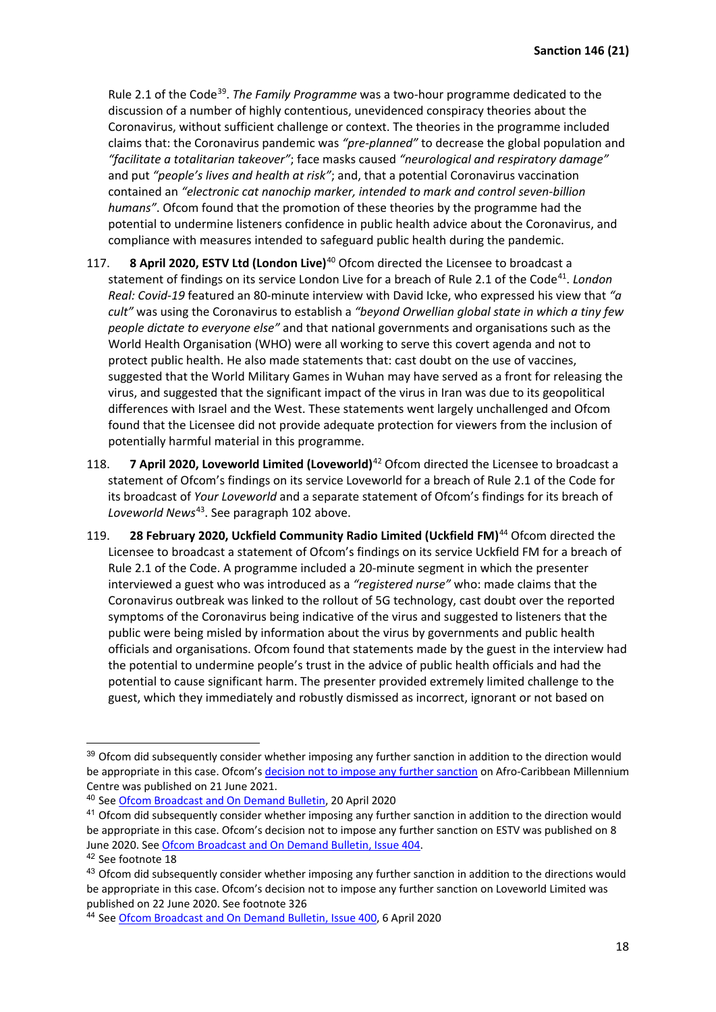Rule 2.1 of the Code<sup>[39](#page-17-0)</sup>. *The Family Programme* was a two-hour programme dedicated to the discussion of a number of highly contentious, unevidenced conspiracy theories about the Coronavirus, without sufficient challenge or context. The theories in the programme included claims that: the Coronavirus pandemic was *"pre-planned"* to decrease the global population and *"facilitate a totalitarian takeover"*; face masks caused *"neurological and respiratory damage"* and put *"people's lives and health at risk"*; and, that a potential Coronavirus vaccination contained an *"electronic cat nanochip marker, intended to mark and control seven-billion humans"*. Ofcom found that the promotion of these theories by the programme had the potential to undermine listeners confidence in public health advice about the Coronavirus, and compliance with measures intended to safeguard public health during the pandemic.

- 117. **8 April 2020, ESTV Ltd (London Live)**[40](#page-17-1) Ofcom directed the Licensee to broadcast a statement of findings on its service London Live for a breach of Rule 2.1 of the Code<sup>[41](#page-17-2)</sup>. *London Real: Covid-19* featured an 80-minute interview with David Icke, who expressed his view that *"a cult"* was using the Coronavirus to establish a *"beyond Orwellian global state in which a tiny few people dictate to everyone else"* and that national governments and organisations such as the World Health Organisation (WHO) were all working to serve this covert agenda and not to protect public health. He also made statements that: cast doubt on the use of vaccines, suggested that the World Military Games in Wuhan may have served as a front for releasing the virus, and suggested that the significant impact of the virus in Iran was due to its geopolitical differences with Israel and the West. These statements went largely unchallenged and Ofcom found that the Licensee did not provide adequate protection for viewers from the inclusion of potentially harmful material in this programme.
- 118. **7 April 2020, Loveworld Limited (Loveworld)**[42](#page-17-3) Ofcom directed the Licensee to broadcast a statement of Ofcom's findings on its service Loveworld for a breach of Rule 2.1 of the Code for its broadcast of *Your Loveworld* and a separate statement of Ofcom's findings for its breach of *Loveworld News*[43](#page-17-4). See paragraph 102 above.
- 119. **28 February 2020, Uckfield Community Radio Limited (Uckfield FM)**[44](#page-17-5) Ofcom directed the Licensee to broadcast a statement of Ofcom's findings on its service Uckfield FM for a breach of Rule 2.1 of the Code. A programme included a 20-minute segment in which the presenter interviewed a guest who was introduced as a *"registered nurse"* who: made claims that the Coronavirus outbreak was linked to the rollout of 5G technology, cast doubt over the reported symptoms of the Coronavirus being indicative of the virus and suggested to listeners that the public were being misled by information about the virus by governments and public health officials and organisations. Ofcom found that statements made by the guest in the interview had the potential to undermine people's trust in the advice of public health officials and had the potential to cause significant harm. The presenter provided extremely limited challenge to the guest, which they immediately and robustly dismissed as incorrect, ignorant or not based on

<span id="page-17-0"></span><sup>&</sup>lt;sup>39</sup> Ofcom did subsequently consider whether imposing any further sanction in addition to the direction would be appropriate in this case. Ofcom's decision [not to impose any further sanction](https://www.ofcom.org.uk/__data/assets/pdf_file/0020/220835/Decision-on-Further-Sanction-Afro-Caribbean-Millennium-Centre-ACMC.pdf) on Afro-Caribbean Millennium Centre was published on 21 June 2021.

<span id="page-17-1"></span><sup>40</sup> See [Ofcom Broadcast and On Demand Bulletin,](https://www.ofcom.org.uk/__data/assets/pdf_file/0020/194402/sanction-decision-estv.pdf) 20 April 2020

<span id="page-17-2"></span><sup>&</sup>lt;sup>41</sup> Ofcom did subsequently consider whether imposing any further sanction in addition to the direction would be appropriate in this case. Ofcom's decision not to impose any further sanction on ESTV was published on 8 June 2020. See [Ofcom Broadcast and On Demand Bulletin, Issue 404.](https://www.ofcom.org.uk/__data/assets/pdf_file/0031/196465/sanctions-panel-decision-estv.pdf)

<span id="page-17-3"></span><sup>42</sup> See footnote 18

<span id="page-17-4"></span><sup>&</sup>lt;sup>43</sup> Ofcom did subsequently consider whether imposing any further sanction in addition to the directions would be appropriate in this case. Ofcom's decision not to impose any further sanction on Loveworld Limited was published on 22 June 2020. See footnote 326

<span id="page-17-5"></span><sup>44</sup> See [Ofcom Broadcast and On Demand Bulletin, Issue 400,](https://www.ofcom.org.uk/__data/assets/pdf_file/0027/193527/Tony-Williams,-Uckfield-FM,-28-February-2020,-0900.pdf) 6 April 2020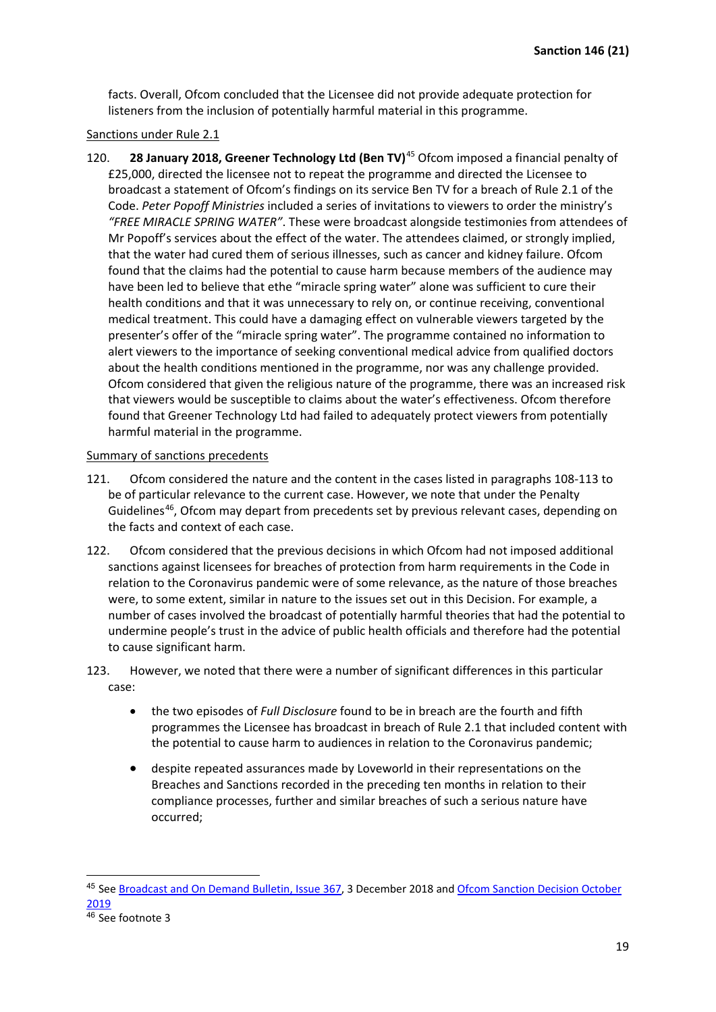facts. Overall, Ofcom concluded that the Licensee did not provide adequate protection for listeners from the inclusion of potentially harmful material in this programme.

#### Sanctions under Rule 2.1

120. **28 January 2018, Greener Technology Ltd (Ben TV)**[45](#page-18-0) Ofcom imposed a financial penalty of £25,000, directed the licensee not to repeat the programme and directed the Licensee to broadcast a statement of Ofcom's findings on its service Ben TV for a breach of Rule 2.1 of the Code. *Peter Popoff Ministries* included a series of invitations to viewers to order the ministry's *"FREE MIRACLE SPRING WATER"*. These were broadcast alongside testimonies from attendees of Mr Popoff's services about the effect of the water. The attendees claimed, or strongly implied, that the water had cured them of serious illnesses, such as cancer and kidney failure. Ofcom found that the claims had the potential to cause harm because members of the audience may have been led to believe that ethe "miracle spring water" alone was sufficient to cure their health conditions and that it was unnecessary to rely on, or continue receiving, conventional medical treatment. This could have a damaging effect on vulnerable viewers targeted by the presenter's offer of the "miracle spring water". The programme contained no information to alert viewers to the importance of seeking conventional medical advice from qualified doctors about the health conditions mentioned in the programme, nor was any challenge provided. Ofcom considered that given the religious nature of the programme, there was an increased risk that viewers would be susceptible to claims about the water's effectiveness. Ofcom therefore found that Greener Technology Ltd had failed to adequately protect viewers from potentially harmful material in the programme.

#### Summary of sanctions precedents

- 121. Ofcom considered the nature and the content in the cases listed in paragraphs 108-113 to be of particular relevance to the current case. However, we note that under the Penalty Guidelines<sup>46</sup>, Ofcom may depart from precedents set by previous relevant cases, depending on the facts and context of each case.
- 122. Ofcom considered that the previous decisions in which Ofcom had not imposed additional sanctions against licensees for breaches of protection from harm requirements in the Code in relation to the Coronavirus pandemic were of some relevance, as the nature of those breaches were, to some extent, similar in nature to the issues set out in this Decision. For example, a number of cases involved the broadcast of potentially harmful theories that had the potential to undermine people's trust in the advice of public health officials and therefore had the potential to cause significant harm.
- 123. However, we noted that there were a number of significant differences in this particular case:
	- the two episodes of *Full Disclosure* found to be in breach are the fourth and fifth programmes the Licensee has broadcast in breach of Rule 2.1 that included content with the potential to cause harm to audiences in relation to the Coronavirus pandemic;
	- despite repeated assurances made by Loveworld in their representations on the Breaches and Sanctions recorded in the preceding ten months in relation to their compliance processes, further and similar breaches of such a serious nature have occurred;

<span id="page-18-1"></span><span id="page-18-0"></span><sup>&</sup>lt;sup>45</sup> See [Broadcast and On Demand Bulletin,](https://www.ofcom.org.uk/__data/assets/pdf_file/0017/129050/Issue-367-of-Ofcoms-Broadcast-and-On-Demand-Bulletin.pdf) Issue 367, 3 December 2018 and Ofcom Sanction Decision October [2019](https://www.ofcom.org.uk/__data/assets/pdf_file/0023/171734/sanction-decision-greener-technology.pdf)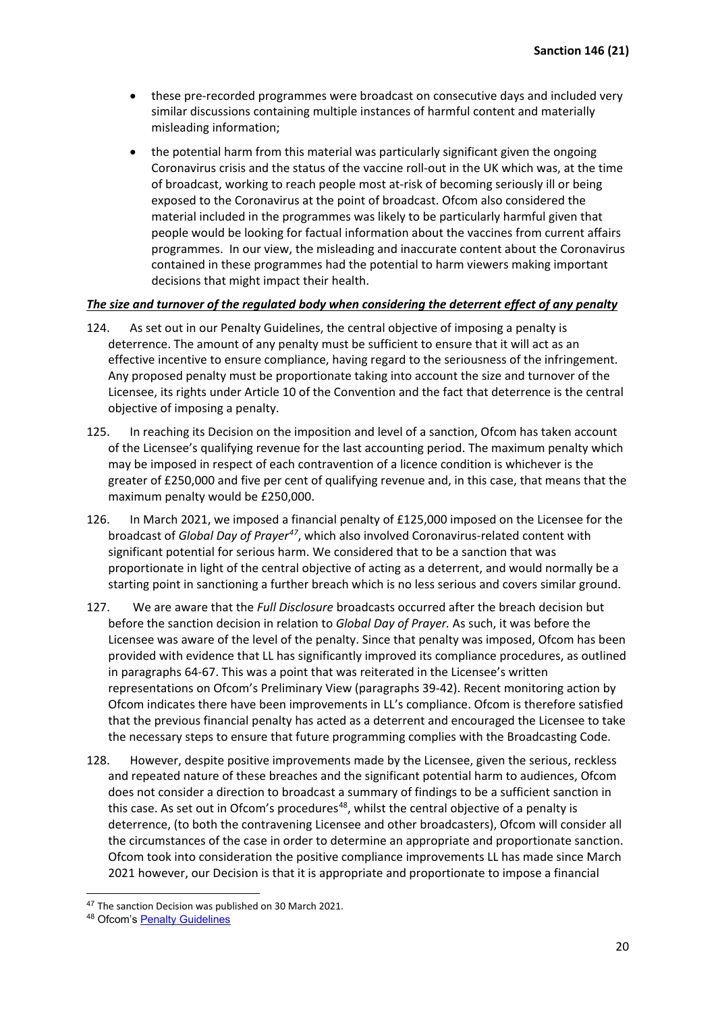- these pre-recorded programmes were broadcast on consecutive days and included very similar discussions containing multiple instances of harmful content and materially misleading information;
- the potential harm from this material was particularly significant given the ongoing Coronavirus crisis and the status of the vaccine roll-out in the UK which was, at the time of broadcast, working to reach people most at-risk of becoming seriously ill or being exposed to the Coronavirus at the point of broadcast. Ofcom also considered the material included in the programmes was likely to be particularly harmful given that people would be looking for factual information about the vaccines from current affairs programmes. In our view, the misleading and inaccurate content about the Coronavirus contained in these programmes had the potential to harm viewers making important decisions that might impact their health.

# *The size and turnover of the regulated body when considering the deterrent effect of any penalty*

- 124. As set out in our Penalty Guidelines, the central objective of imposing a penalty is deterrence. The amount of any penalty must be sufficient to ensure that it will act as an effective incentive to ensure compliance, having regard to the seriousness of the infringement. Any proposed penalty must be proportionate taking into account the size and turnover of the Licensee, its rights under Article 10 of the Convention and the fact that deterrence is the central objective of imposing a penalty.
- 125. In reaching its Decision on the imposition and level of a sanction, Ofcom has taken account of the Licensee's qualifying revenue for the last accounting period. The maximum penalty which may be imposed in respect of each contravention of a licence condition is whichever is the greater of £250,000 and five per cent of qualifying revenue and, in this case, that means that the maximum penalty would be £250,000.
- 126. In March 2021, we imposed a financial penalty of £125,000 imposed on the Licensee for the broadcast of *Global Day of Prayer[47](#page-19-0)*, which also involved Coronavirus-related content with significant potential for serious harm. We considered that to be a sanction that was proportionate in light of the central objective of acting as a deterrent, and would normally be a starting point in sanctioning a further breach which is no less serious and covers similar ground.
- 127. We are aware that the *Full Disclosure* broadcasts occurred after the breach decision but before the sanction decision in relation to *Global Day of Prayer.* As such, it was before the Licensee was aware of the level of the penalty. Since that penalty was imposed, Ofcom has been provided with evidence that LL has significantly improved its compliance procedures, as outlined in paragraphs 64-67. This was a point that was reiterated in the Licensee's written representations on Ofcom's Preliminary View (paragraphs 39-42). Recent monitoring action by Ofcom indicates there have been improvements in LL's compliance. Ofcom is therefore satisfied that the previous financial penalty has acted as a deterrent and encouraged the Licensee to take the necessary steps to ensure that future programming complies with the Broadcasting Code.
- 128. However, despite positive improvements made by the Licensee, given the serious, reckless and repeated nature of these breaches and the significant potential harm to audiences, Ofcom does not consider a direction to broadcast a summary of findings to be a sufficient sanction in this case. As set out in Ofcom's procedures<sup>[48](#page-19-1)</sup>, whilst the central objective of a penalty is deterrence, (to both the contravening Licensee and other broadcasters), Ofcom will consider all the circumstances of the case in order to determine an appropriate and proportionate sanction. Ofcom took into consideration the positive compliance improvements LL has made since March 2021 however, our Decision is that it is appropriate and proportionate to impose a financial

<span id="page-19-0"></span><sup>&</sup>lt;sup>47</sup> The sanction Decision was published on 30 March 2021.

<span id="page-19-1"></span><sup>48</sup> Ofcom's **Penalty Guidelines**